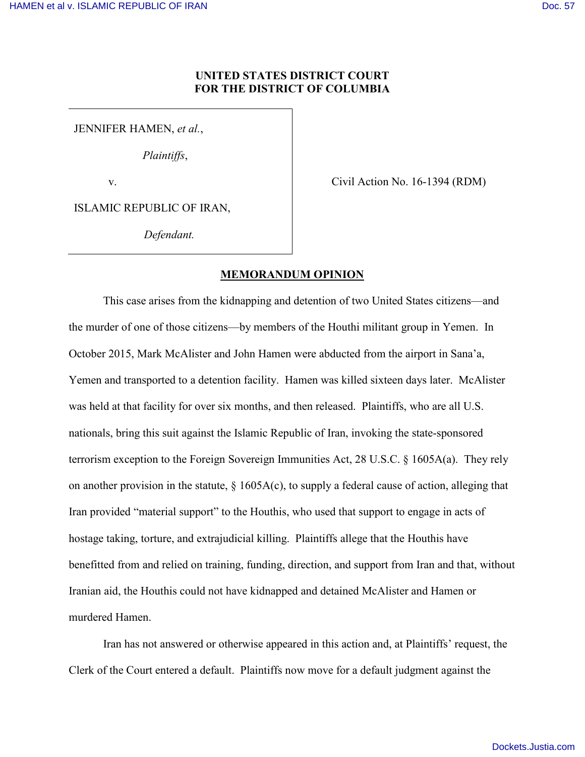# **UNITED STATES DISTRICT COURT FOR THE DISTRICT OF COLUMBIA**

JENNIFER HAMEN, *et al.*,

*Plaintiffs*,

v.

Civil Action No. 16-1394 (RDM)

ISLAMIC REPUBLIC OF IRAN,

*Defendant.*

# **MEMORANDUM OPINION**

This case arises from the kidnapping and detention of two United States citizens—and the murder of one of those citizens—by members of the Houthi militant group in Yemen. In October 2015, Mark McAlister and John Hamen were abducted from the airport in Sana'a, Yemen and transported to a detention facility. Hamen was killed sixteen days later. McAlister was held at that facility for over six months, and then released. Plaintiffs, who are all U.S. nationals, bring this suit against the Islamic Republic of Iran, invoking the state-sponsored terrorism exception to the Foreign Sovereign Immunities Act, 28 U.S.C. § 1605A(a). They rely on another provision in the statute,  $\S$  1605A(c), to supply a federal cause of action, alleging that Iran provided "material support" to the Houthis, who used that support to engage in acts of hostage taking, torture, and extrajudicial killing. Plaintiffs allege that the Houthis have benefitted from and relied on training, funding, direction, and support from Iran and that, without Iranian aid, the Houthis could not have kidnapped and detained McAlister and Hamen or murdered Hamen.

Iran has not answered or otherwise appeared in this action and, at Plaintiffs' request, the Clerk of the Court entered a default. Plaintiffs now move for a default judgment against the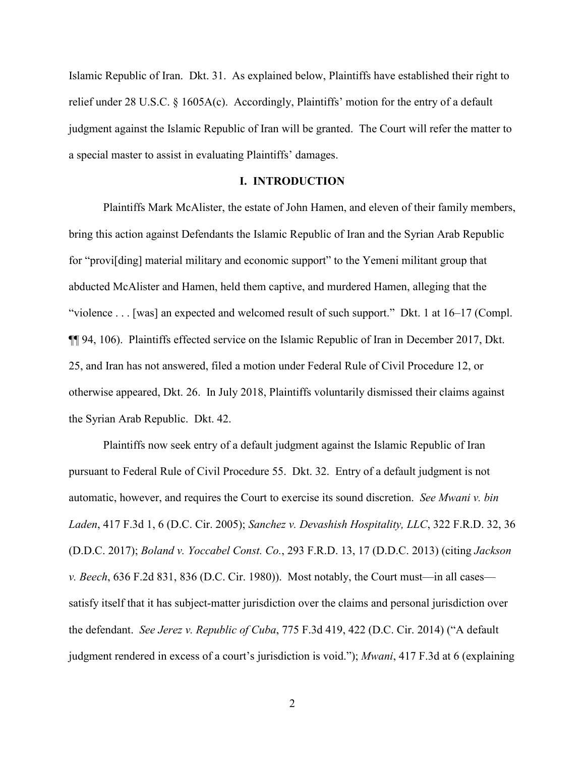Islamic Republic of Iran. Dkt. 31. As explained below, Plaintiffs have established their right to relief under 28 U.S.C. § 1605A(c). Accordingly, Plaintiffs' motion for the entry of a default judgment against the Islamic Republic of Iran will be granted. The Court will refer the matter to a special master to assist in evaluating Plaintiffs' damages.

## **I. INTRODUCTION**

Plaintiffs Mark McAlister, the estate of John Hamen, and eleven of their family members, bring this action against Defendants the Islamic Republic of Iran and the Syrian Arab Republic for "provi[ding] material military and economic support" to the Yemeni militant group that abducted McAlister and Hamen, held them captive, and murdered Hamen, alleging that the "violence . . . [was] an expected and welcomed result of such support." Dkt. 1 at 16–17 (Compl. ¶¶ 94, 106). Plaintiffs effected service on the Islamic Republic of Iran in December 2017, Dkt. 25, and Iran has not answered, filed a motion under Federal Rule of Civil Procedure 12, or otherwise appeared, Dkt. 26. In July 2018, Plaintiffs voluntarily dismissed their claims against the Syrian Arab Republic. Dkt. 42.

Plaintiffs now seek entry of a default judgment against the Islamic Republic of Iran pursuant to Federal Rule of Civil Procedure 55. Dkt. 32. Entry of a default judgment is not automatic, however, and requires the Court to exercise its sound discretion. *See Mwani v. bin Laden*, 417 F.3d 1, 6 (D.C. Cir. 2005); *Sanchez v. Devashish Hospitality, LLC*, 322 F.R.D. 32, 36 (D.D.C. 2017); *Boland v. Yoccabel Const. Co.*, 293 F.R.D. 13, 17 (D.D.C. 2013) (citing *Jackson v. Beech*, 636 F.2d 831, 836 (D.C. Cir. 1980)). Most notably, the Court must—in all cases satisfy itself that it has subject-matter jurisdiction over the claims and personal jurisdiction over the defendant. *See Jerez v. Republic of Cuba*, 775 F.3d 419, 422 (D.C. Cir. 2014) ("A default judgment rendered in excess of a court's jurisdiction is void."); *Mwani*, 417 F.3d at 6 (explaining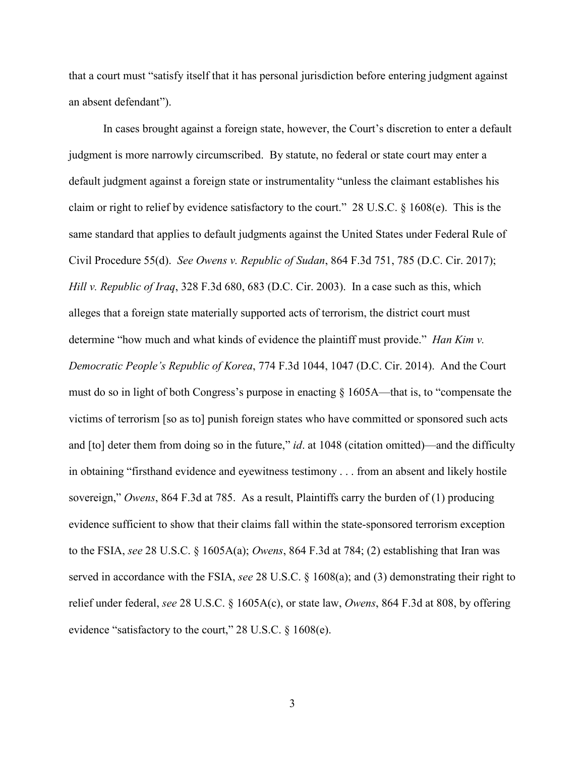that a court must "satisfy itself that it has personal jurisdiction before entering judgment against an absent defendant").

In cases brought against a foreign state, however, the Court's discretion to enter a default judgment is more narrowly circumscribed. By statute, no federal or state court may enter a default judgment against a foreign state or instrumentality "unless the claimant establishes his claim or right to relief by evidence satisfactory to the court." 28 U.S.C. § 1608(e). This is the same standard that applies to default judgments against the United States under Federal Rule of Civil Procedure 55(d). *See Owens v. Republic of Sudan*, 864 F.3d 751, 785 (D.C. Cir. 2017); *Hill v. Republic of Iraq*, 328 F.3d 680, 683 (D.C. Cir. 2003). In a case such as this, which alleges that a foreign state materially supported acts of terrorism, the district court must determine "how much and what kinds of evidence the plaintiff must provide." *Han Kim v. Democratic People's Republic of Korea*, 774 F.3d 1044, 1047 (D.C. Cir. 2014). And the Court must do so in light of both Congress's purpose in enacting § 1605A—that is, to "compensate the victims of terrorism [so as to] punish foreign states who have committed or sponsored such acts and [to] deter them from doing so in the future," *id*. at 1048 (citation omitted)—and the difficulty in obtaining "firsthand evidence and eyewitness testimony . . . from an absent and likely hostile sovereign," *Owens*, 864 F.3d at 785. As a result, Plaintiffs carry the burden of (1) producing evidence sufficient to show that their claims fall within the state-sponsored terrorism exception to the FSIA, *see* 28 U.S.C. § 1605A(a); *Owens*, 864 F.3d at 784; (2) establishing that Iran was served in accordance with the FSIA, *see* 28 U.S.C. § 1608(a); and (3) demonstrating their right to relief under federal, *see* 28 U.S.C. § 1605A(c), or state law, *Owens*, 864 F.3d at 808, by offering evidence "satisfactory to the court," 28 U.S.C. § 1608(e).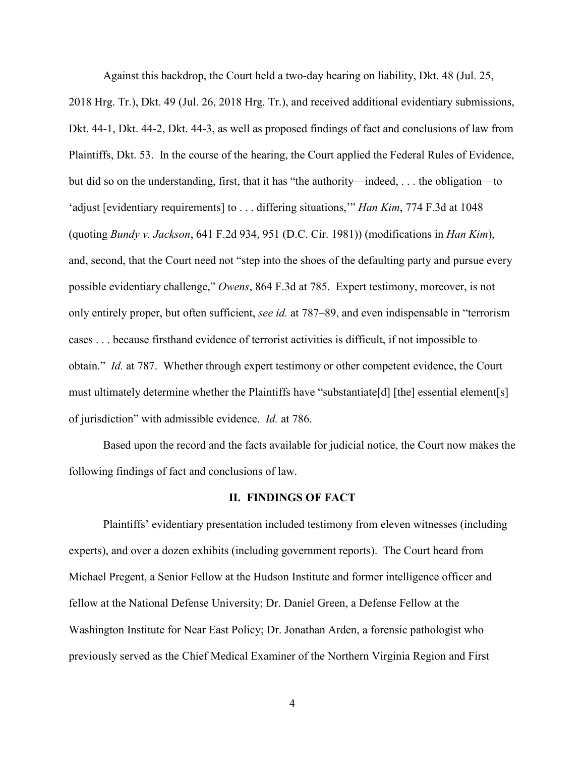Against this backdrop, the Court held a two-day hearing on liability, Dkt. 48 (Jul. 25,

2018 Hrg. Tr.), Dkt. 49 (Jul. 26, 2018 Hrg. Tr.), and received additional evidentiary submissions, Dkt. 44-1, Dkt. 44-2, Dkt. 44-3, as well as proposed findings of fact and conclusions of law from Plaintiffs, Dkt. 53. In the course of the hearing, the Court applied the Federal Rules of Evidence, but did so on the understanding, first, that it has "the authority—indeed, . . . the obligation—to 'adjust [evidentiary requirements] to . . . differing situations,'" *Han Kim*, 774 F.3d at 1048 (quoting *Bundy v. Jackson*, 641 F.2d 934, 951 (D.C. Cir. 1981)) (modifications in *Han Kim*), and, second, that the Court need not "step into the shoes of the defaulting party and pursue every possible evidentiary challenge," *Owens*, 864 F.3d at 785. Expert testimony, moreover, is not only entirely proper, but often sufficient, *see id.* at 787–89, and even indispensable in "terrorism cases . . . because firsthand evidence of terrorist activities is difficult, if not impossible to obtain." *Id.* at 787. Whether through expert testimony or other competent evidence, the Court must ultimately determine whether the Plaintiffs have "substantiate[d] [the] essential element[s] of jurisdiction" with admissible evidence. *Id.* at 786.

Based upon the record and the facts available for judicial notice, the Court now makes the following findings of fact and conclusions of law.

## **II. FINDINGS OF FACT**

Plaintiffs' evidentiary presentation included testimony from eleven witnesses (including experts), and over a dozen exhibits (including government reports). The Court heard from Michael Pregent, a Senior Fellow at the Hudson Institute and former intelligence officer and fellow at the National Defense University; Dr. Daniel Green, a Defense Fellow at the Washington Institute for Near East Policy; Dr. Jonathan Arden, a forensic pathologist who previously served as the Chief Medical Examiner of the Northern Virginia Region and First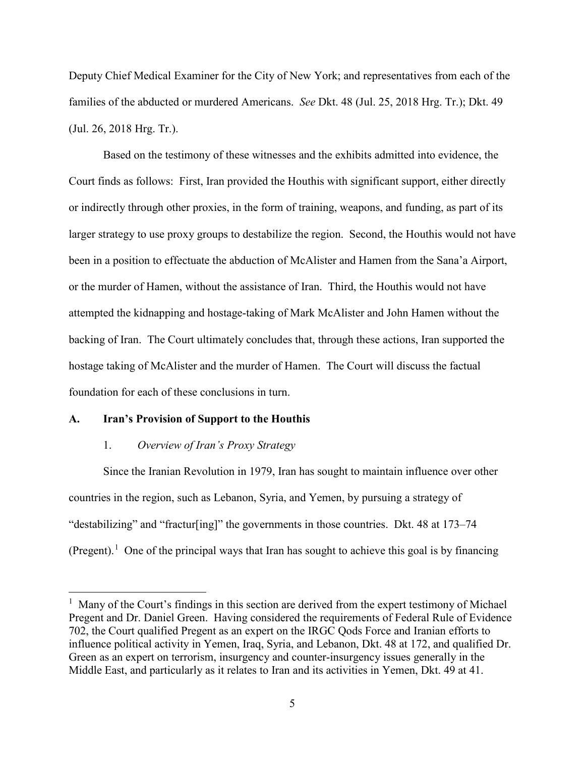Deputy Chief Medical Examiner for the City of New York; and representatives from each of the families of the abducted or murdered Americans. *See* Dkt. 48 (Jul. 25, 2018 Hrg. Tr.); Dkt. 49 (Jul. 26, 2018 Hrg. Tr.).

Based on the testimony of these witnesses and the exhibits admitted into evidence, the Court finds as follows: First, Iran provided the Houthis with significant support, either directly or indirectly through other proxies, in the form of training, weapons, and funding, as part of its larger strategy to use proxy groups to destabilize the region. Second, the Houthis would not have been in a position to effectuate the abduction of McAlister and Hamen from the Sana'a Airport, or the murder of Hamen, without the assistance of Iran. Third, the Houthis would not have attempted the kidnapping and hostage-taking of Mark McAlister and John Hamen without the backing of Iran. The Court ultimately concludes that, through these actions, Iran supported the hostage taking of McAlister and the murder of Hamen. The Court will discuss the factual foundation for each of these conclusions in turn.

### **A. Iran's Provision of Support to the Houthis**

 $\overline{a}$ 

## 1. *Overview of Iran's Proxy Strategy*

 Since the Iranian Revolution in 1979, Iran has sought to maintain influence over other countries in the region, such as Lebanon, Syria, and Yemen, by pursuing a strategy of "destabilizing" and "fractur[ing]" the governments in those countries. Dkt. 48 at 173–74 (Pregent).<sup>[1](#page-4-0)</sup> One of the principal ways that Iran has sought to achieve this goal is by financing

<span id="page-4-0"></span><sup>&</sup>lt;sup>1</sup> Many of the Court's findings in this section are derived from the expert testimony of Michael Pregent and Dr. Daniel Green. Having considered the requirements of Federal Rule of Evidence 702, the Court qualified Pregent as an expert on the IRGC Qods Force and Iranian efforts to influence political activity in Yemen, Iraq, Syria, and Lebanon, Dkt. 48 at 172, and qualified Dr. Green as an expert on terrorism, insurgency and counter-insurgency issues generally in the Middle East, and particularly as it relates to Iran and its activities in Yemen, Dkt. 49 at 41.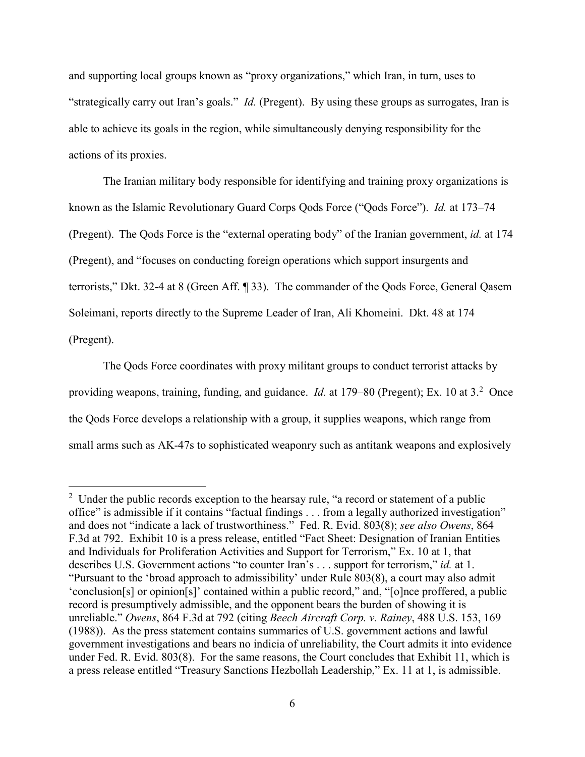and supporting local groups known as "proxy organizations," which Iran, in turn, uses to "strategically carry out Iran's goals." *Id.* (Pregent). By using these groups as surrogates, Iran is able to achieve its goals in the region, while simultaneously denying responsibility for the actions of its proxies.

The Iranian military body responsible for identifying and training proxy organizations is known as the Islamic Revolutionary Guard Corps Qods Force ("Qods Force"). *Id.* at 173–74 (Pregent). The Qods Force is the "external operating body" of the Iranian government, *id.* at 174 (Pregent), and "focuses on conducting foreign operations which support insurgents and terrorists," Dkt. 32-4 at 8 (Green Aff. ¶ 33). The commander of the Qods Force, General Qasem Soleimani, reports directly to the Supreme Leader of Iran, Ali Khomeini. Dkt. 48 at 174 (Pregent).

The Qods Force coordinates with proxy militant groups to conduct terrorist attacks by providing weapons, training, funding, and guidance. *Id.* at 179–80 (Pregent); Ex. 10 at 3.<sup>[2](#page-5-0)</sup> Once the Qods Force develops a relationship with a group, it supplies weapons, which range from small arms such as AK-47s to sophisticated weaponry such as antitank weapons and explosively

-

<span id="page-5-0"></span> $2$  Under the public records exception to the hearsay rule, "a record or statement of a public office" is admissible if it contains "factual findings . . . from a legally authorized investigation" and does not "indicate a lack of trustworthiness." Fed. R. Evid. 803(8); *see also Owens*, 864 F.3d at 792. Exhibit 10 is a press release, entitled "Fact Sheet: Designation of Iranian Entities and Individuals for Proliferation Activities and Support for Terrorism," Ex. 10 at 1, that describes U.S. Government actions "to counter Iran's . . . support for terrorism," *id.* at 1. "Pursuant to the 'broad approach to admissibility' under Rule 803(8), a court may also admit 'conclusion[s] or opinion[s]' contained within a public record," and, "[o]nce proffered, a public record is presumptively admissible, and the opponent bears the burden of showing it is unreliable." *Owens*, 864 F.3d at 792 (citing *Beech Aircraft Corp. v. Rainey*, 488 U.S. 153, 169 (1988)). As the press statement contains summaries of U.S. government actions and lawful government investigations and bears no indicia of unreliability, the Court admits it into evidence under Fed. R. Evid. 803(8). For the same reasons, the Court concludes that Exhibit 11, which is a press release entitled "Treasury Sanctions Hezbollah Leadership," Ex. 11 at 1, is admissible.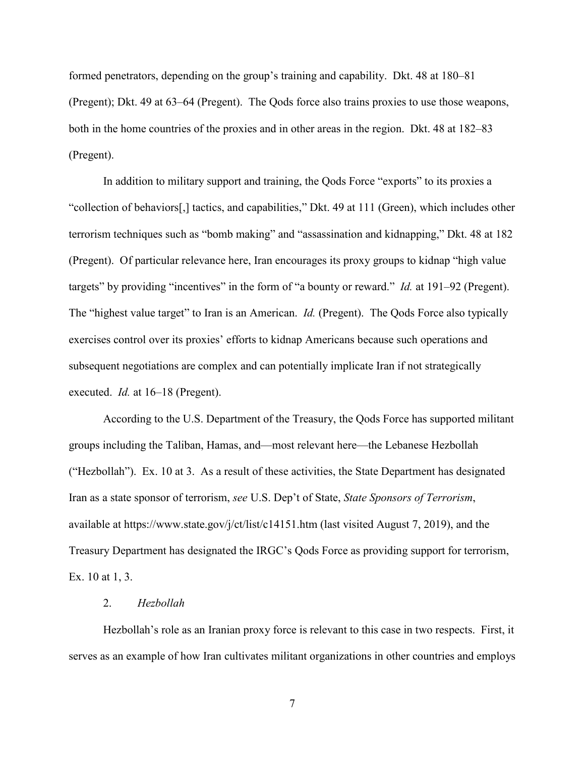formed penetrators, depending on the group's training and capability. Dkt. 48 at 180–81 (Pregent); Dkt. 49 at 63–64 (Pregent). The Qods force also trains proxies to use those weapons, both in the home countries of the proxies and in other areas in the region. Dkt. 48 at 182–83 (Pregent).

In addition to military support and training, the Qods Force "exports" to its proxies a "collection of behaviors[,] tactics, and capabilities," Dkt. 49 at 111 (Green), which includes other terrorism techniques such as "bomb making" and "assassination and kidnapping," Dkt. 48 at 182 (Pregent). Of particular relevance here, Iran encourages its proxy groups to kidnap "high value targets" by providing "incentives" in the form of "a bounty or reward." *Id.* at 191–92 (Pregent). The "highest value target" to Iran is an American. *Id.* (Pregent). The Qods Force also typically exercises control over its proxies' efforts to kidnap Americans because such operations and subsequent negotiations are complex and can potentially implicate Iran if not strategically executed. *Id.* at 16–18 (Pregent).

According to the U.S. Department of the Treasury, the Qods Force has supported militant groups including the Taliban, Hamas, and—most relevant here—the Lebanese Hezbollah ("Hezbollah"). Ex. 10 at 3. As a result of these activities, the State Department has designated Iran as a state sponsor of terrorism, *see* U.S. Dep't of State, *State Sponsors of Terrorism*, available at https://www.state.gov/j/ct/list/c14151.htm (last visited August 7, 2019), and the Treasury Department has designated the IRGC's Qods Force as providing support for terrorism, Ex. 10 at 1, 3.

#### 2. *Hezbollah*

Hezbollah's role as an Iranian proxy force is relevant to this case in two respects. First, it serves as an example of how Iran cultivates militant organizations in other countries and employs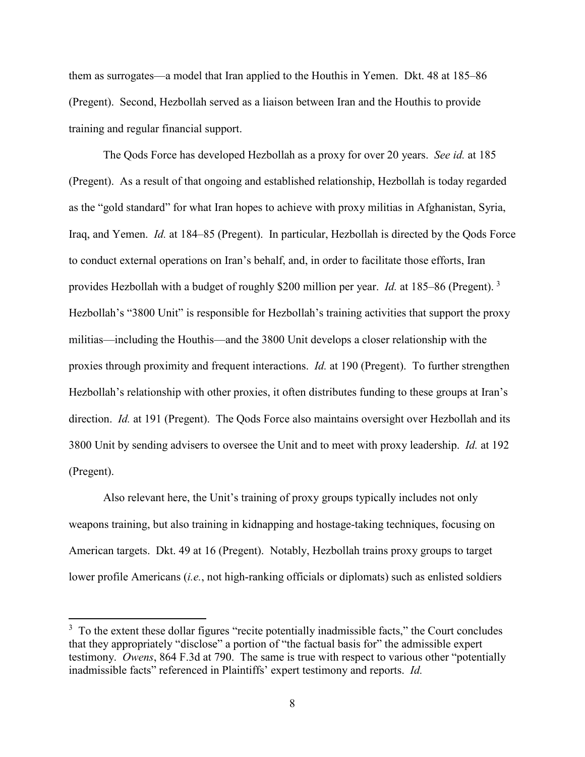them as surrogates—a model that Iran applied to the Houthis in Yemen. Dkt. 48 at 185–86 (Pregent). Second, Hezbollah served as a liaison between Iran and the Houthis to provide training and regular financial support.

The Qods Force has developed Hezbollah as a proxy for over 20 years. *See id.* at 185 (Pregent). As a result of that ongoing and established relationship, Hezbollah is today regarded as the "gold standard" for what Iran hopes to achieve with proxy militias in Afghanistan, Syria, Iraq, and Yemen. *Id.* at 184–85 (Pregent). In particular, Hezbollah is directed by the Qods Force to conduct external operations on Iran's behalf, and, in order to facilitate those efforts, Iran provides Hezbollah with a budget of roughly \$200 million per year. *Id.* at 185–86 (Pregent). [3](#page-7-0) Hezbollah's "3800 Unit" is responsible for Hezbollah's training activities that support the proxy militias—including the Houthis—and the 3800 Unit develops a closer relationship with the proxies through proximity and frequent interactions. *Id.* at 190 (Pregent). To further strengthen Hezbollah's relationship with other proxies, it often distributes funding to these groups at Iran's direction. *Id.* at 191 (Pregent). The Qods Force also maintains oversight over Hezbollah and its 3800 Unit by sending advisers to oversee the Unit and to meet with proxy leadership. *Id.* at 192 (Pregent).

Also relevant here, the Unit's training of proxy groups typically includes not only weapons training, but also training in kidnapping and hostage-taking techniques, focusing on American targets. Dkt. 49 at 16 (Pregent). Notably, Hezbollah trains proxy groups to target lower profile Americans (*i.e.*, not high-ranking officials or diplomats) such as enlisted soldiers

 $\overline{a}$ 

<span id="page-7-0"></span> $3\,$  To the extent these dollar figures "recite potentially inadmissible facts," the Court concludes that they appropriately "disclose" a portion of "the factual basis for" the admissible expert testimony. *Owens*, 864 F.3d at 790. The same is true with respect to various other "potentially inadmissible facts" referenced in Plaintiffs' expert testimony and reports. *Id.*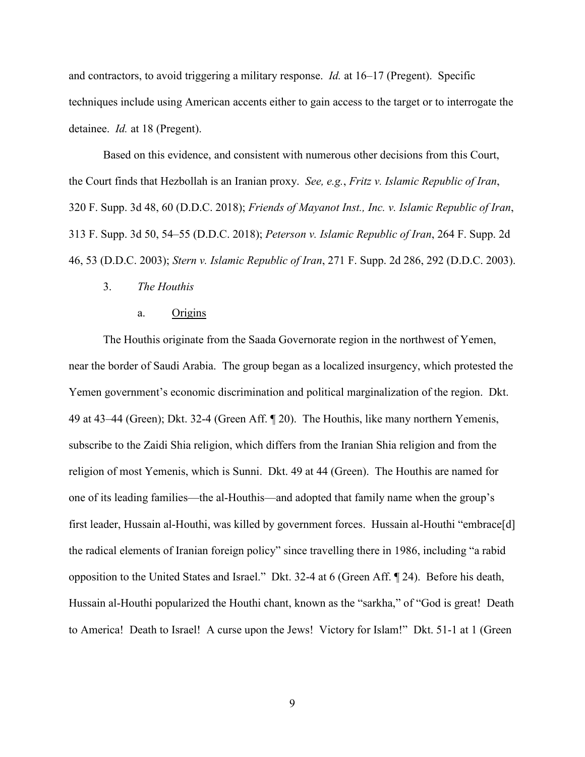and contractors, to avoid triggering a military response. *Id.* at 16–17 (Pregent). Specific techniques include using American accents either to gain access to the target or to interrogate the detainee. *Id.* at 18 (Pregent).

Based on this evidence, and consistent with numerous other decisions from this Court, the Court finds that Hezbollah is an Iranian proxy. *See, e.g.*, *Fritz v. Islamic Republic of Iran*, 320 F. Supp. 3d 48, 60 (D.D.C. 2018); *Friends of Mayanot Inst., Inc. v. Islamic Republic of Iran*, 313 F. Supp. 3d 50, 54–55 (D.D.C. 2018); *Peterson v. Islamic Republic of Iran*, 264 F. Supp. 2d 46, 53 (D.D.C. 2003); *Stern v. Islamic Republic of Iran*, 271 F. Supp. 2d 286, 292 (D.D.C. 2003).

### 3. *The Houthis*

#### a. Origins

The Houthis originate from the Saada Governorate region in the northwest of Yemen, near the border of Saudi Arabia. The group began as a localized insurgency, which protested the Yemen government's economic discrimination and political marginalization of the region. Dkt. 49 at 43–44 (Green); Dkt. 32-4 (Green Aff. ¶ 20). The Houthis, like many northern Yemenis, subscribe to the Zaidi Shia religion, which differs from the Iranian Shia religion and from the religion of most Yemenis, which is Sunni. Dkt. 49 at 44 (Green). The Houthis are named for one of its leading families—the al-Houthis—and adopted that family name when the group's first leader, Hussain al-Houthi, was killed by government forces. Hussain al-Houthi "embrace[d] the radical elements of Iranian foreign policy" since travelling there in 1986, including "a rabid opposition to the United States and Israel." Dkt. 32-4 at 6 (Green Aff. ¶ 24). Before his death, Hussain al-Houthi popularized the Houthi chant, known as the "sarkha," of "God is great! Death to America! Death to Israel! A curse upon the Jews! Victory for Islam!" Dkt. 51-1 at 1 (Green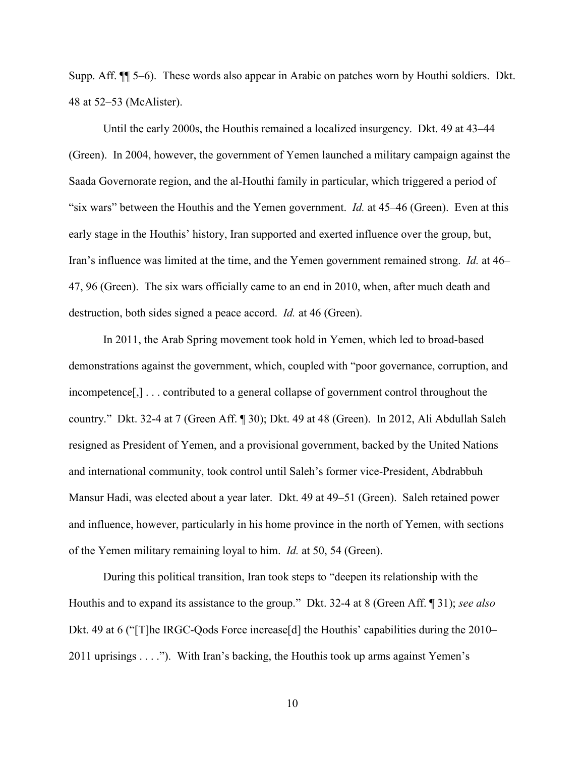Supp. Aff. ¶¶ 5–6). These words also appear in Arabic on patches worn by Houthi soldiers. Dkt. 48 at 52–53 (McAlister).

Until the early 2000s, the Houthis remained a localized insurgency. Dkt. 49 at 43–44 (Green). In 2004, however, the government of Yemen launched a military campaign against the Saada Governorate region, and the al-Houthi family in particular, which triggered a period of "six wars" between the Houthis and the Yemen government. *Id.* at 45–46 (Green). Even at this early stage in the Houthis' history, Iran supported and exerted influence over the group, but, Iran's influence was limited at the time, and the Yemen government remained strong. *Id.* at 46– 47, 96 (Green). The six wars officially came to an end in 2010, when, after much death and destruction, both sides signed a peace accord. *Id.* at 46 (Green).

In 2011, the Arab Spring movement took hold in Yemen, which led to broad-based demonstrations against the government, which, coupled with "poor governance, corruption, and incompetence[,] . . . contributed to a general collapse of government control throughout the country." Dkt. 32-4 at 7 (Green Aff. ¶ 30); Dkt. 49 at 48 (Green). In 2012, Ali Abdullah Saleh resigned as President of Yemen, and a provisional government, backed by the United Nations and international community, took control until Saleh's former vice-President, Abdrabbuh Mansur Hadi, was elected about a year later. Dkt. 49 at 49–51 (Green). Saleh retained power and influence, however, particularly in his home province in the north of Yemen, with sections of the Yemen military remaining loyal to him. *Id.* at 50, 54 (Green).

During this political transition, Iran took steps to "deepen its relationship with the Houthis and to expand its assistance to the group." Dkt. 32-4 at 8 (Green Aff. ¶ 31); *see also*  Dkt. 49 at 6 ("T]he IRGC-Qods Force increase[d] the Houthis' capabilities during the 2010– 2011 uprisings . . . ."). With Iran's backing, the Houthis took up arms against Yemen's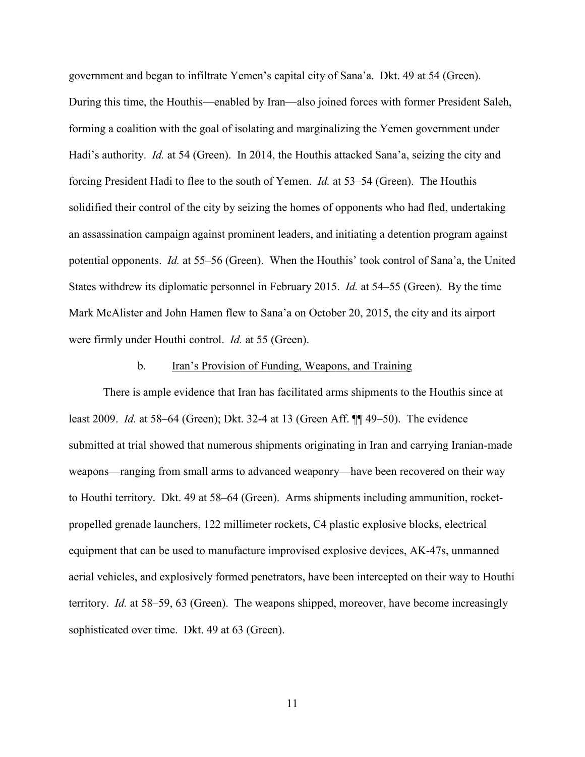government and began to infiltrate Yemen's capital city of Sana'a. Dkt. 49 at 54 (Green). During this time, the Houthis—enabled by Iran—also joined forces with former President Saleh, forming a coalition with the goal of isolating and marginalizing the Yemen government under Hadi's authority. *Id.* at 54 (Green). In 2014, the Houthis attacked Sana'a, seizing the city and forcing President Hadi to flee to the south of Yemen. *Id.* at 53–54 (Green). The Houthis solidified their control of the city by seizing the homes of opponents who had fled, undertaking an assassination campaign against prominent leaders, and initiating a detention program against potential opponents. *Id.* at 55–56 (Green). When the Houthis' took control of Sana'a, the United States withdrew its diplomatic personnel in February 2015. *Id.* at 54–55 (Green). By the time Mark McAlister and John Hamen flew to Sana'a on October 20, 2015, the city and its airport were firmly under Houthi control. *Id.* at 55 (Green).

#### b. Iran's Provision of Funding, Weapons, and Training

There is ample evidence that Iran has facilitated arms shipments to the Houthis since at least 2009. *Id.* at 58–64 (Green); Dkt. 32-4 at 13 (Green Aff. ¶¶ 49–50). The evidence submitted at trial showed that numerous shipments originating in Iran and carrying Iranian-made weapons—ranging from small arms to advanced weaponry—have been recovered on their way to Houthi territory. Dkt. 49 at 58–64 (Green). Arms shipments including ammunition, rocketpropelled grenade launchers, 122 millimeter rockets, C4 plastic explosive blocks, electrical equipment that can be used to manufacture improvised explosive devices, AK-47s, unmanned aerial vehicles, and explosively formed penetrators, have been intercepted on their way to Houthi territory. *Id.* at 58–59, 63 (Green). The weapons shipped, moreover, have become increasingly sophisticated over time. Dkt. 49 at 63 (Green).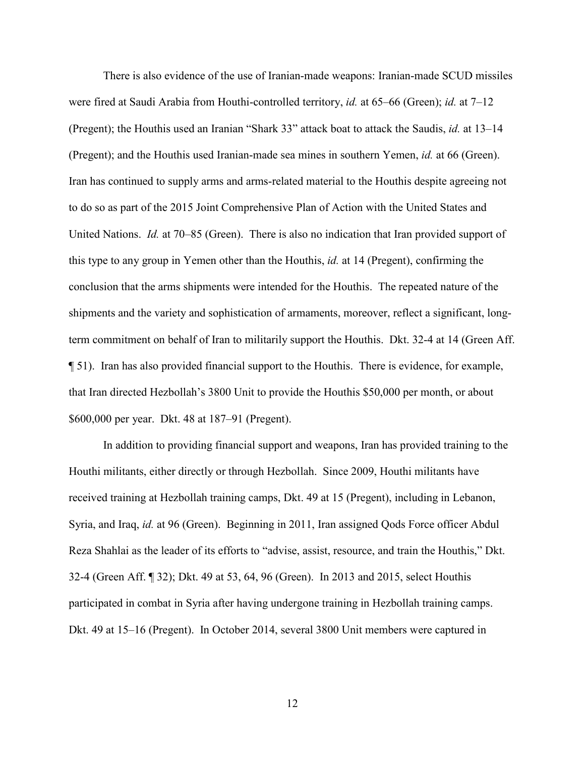There is also evidence of the use of Iranian-made weapons: Iranian-made SCUD missiles were fired at Saudi Arabia from Houthi-controlled territory, *id.* at 65–66 (Green); *id.* at 7–12 (Pregent); the Houthis used an Iranian "Shark 33" attack boat to attack the Saudis, *id.* at 13–14 (Pregent); and the Houthis used Iranian-made sea mines in southern Yemen, *id.* at 66 (Green). Iran has continued to supply arms and arms-related material to the Houthis despite agreeing not to do so as part of the 2015 Joint Comprehensive Plan of Action with the United States and United Nations. *Id.* at 70–85 (Green). There is also no indication that Iran provided support of this type to any group in Yemen other than the Houthis, *id.* at 14 (Pregent), confirming the conclusion that the arms shipments were intended for the Houthis. The repeated nature of the shipments and the variety and sophistication of armaments, moreover, reflect a significant, longterm commitment on behalf of Iran to militarily support the Houthis. Dkt. 32-4 at 14 (Green Aff. ¶ 51). Iran has also provided financial support to the Houthis. There is evidence, for example, that Iran directed Hezbollah's 3800 Unit to provide the Houthis \$50,000 per month, or about \$600,000 per year. Dkt. 48 at 187–91 (Pregent).

In addition to providing financial support and weapons, Iran has provided training to the Houthi militants, either directly or through Hezbollah. Since 2009, Houthi militants have received training at Hezbollah training camps, Dkt. 49 at 15 (Pregent), including in Lebanon, Syria, and Iraq, *id.* at 96 (Green). Beginning in 2011, Iran assigned Qods Force officer Abdul Reza Shahlai as the leader of its efforts to "advise, assist, resource, and train the Houthis," Dkt. 32-4 (Green Aff. ¶ 32); Dkt. 49 at 53, 64, 96 (Green). In 2013 and 2015, select Houthis participated in combat in Syria after having undergone training in Hezbollah training camps. Dkt. 49 at 15–16 (Pregent). In October 2014, several 3800 Unit members were captured in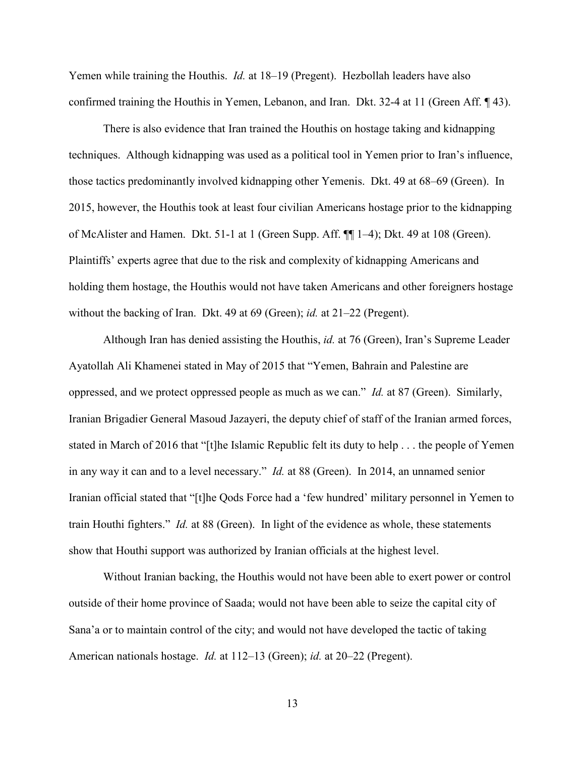Yemen while training the Houthis. *Id.* at 18–19 (Pregent). Hezbollah leaders have also confirmed training the Houthis in Yemen, Lebanon, and Iran. Dkt. 32-4 at 11 (Green Aff. ¶ 43).

There is also evidence that Iran trained the Houthis on hostage taking and kidnapping techniques. Although kidnapping was used as a political tool in Yemen prior to Iran's influence, those tactics predominantly involved kidnapping other Yemenis. Dkt. 49 at 68–69 (Green). In 2015, however, the Houthis took at least four civilian Americans hostage prior to the kidnapping of McAlister and Hamen. Dkt. 51-1 at 1 (Green Supp. Aff. ¶¶ 1–4); Dkt. 49 at 108 (Green). Plaintiffs' experts agree that due to the risk and complexity of kidnapping Americans and holding them hostage, the Houthis would not have taken Americans and other foreigners hostage without the backing of Iran. Dkt. 49 at 69 (Green); *id.* at 21–22 (Pregent).

Although Iran has denied assisting the Houthis, *id.* at 76 (Green), Iran's Supreme Leader Ayatollah Ali Khamenei stated in May of 2015 that "Yemen, Bahrain and Palestine are oppressed, and we protect oppressed people as much as we can." *Id.* at 87 (Green). Similarly, Iranian Brigadier General Masoud Jazayeri, the deputy chief of staff of the Iranian armed forces, stated in March of 2016 that "[t]he Islamic Republic felt its duty to help . . . the people of Yemen in any way it can and to a level necessary." *Id.* at 88 (Green). In 2014, an unnamed senior Iranian official stated that "[t]he Qods Force had a 'few hundred' military personnel in Yemen to train Houthi fighters." *Id.* at 88 (Green). In light of the evidence as whole, these statements show that Houthi support was authorized by Iranian officials at the highest level.

Without Iranian backing, the Houthis would not have been able to exert power or control outside of their home province of Saada; would not have been able to seize the capital city of Sana'a or to maintain control of the city; and would not have developed the tactic of taking American nationals hostage. *Id.* at 112–13 (Green); *id.* at 20–22 (Pregent).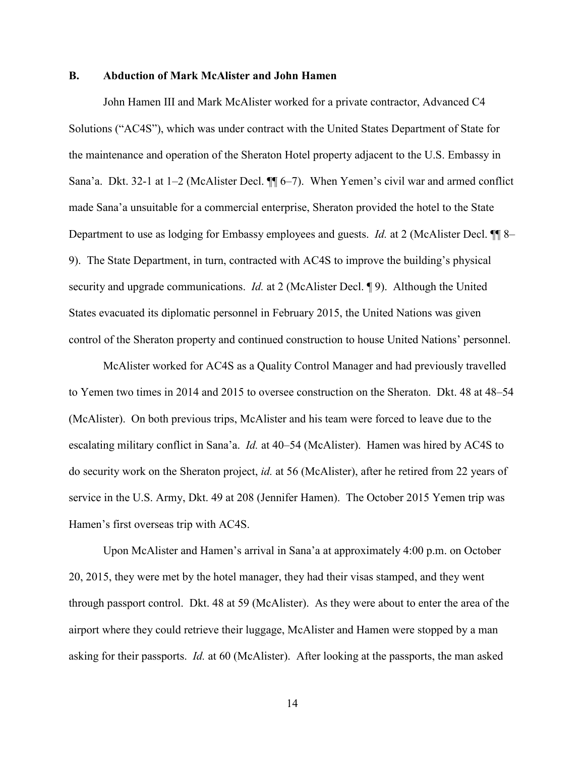#### **B. Abduction of Mark McAlister and John Hamen**

John Hamen III and Mark McAlister worked for a private contractor, Advanced C4 Solutions ("AC4S"), which was under contract with the United States Department of State for the maintenance and operation of the Sheraton Hotel property adjacent to the U.S. Embassy in Sana'a. Dkt. 32-1 at 1–2 (McAlister Decl. ¶¶ 6–7). When Yemen's civil war and armed conflict made Sana'a unsuitable for a commercial enterprise, Sheraton provided the hotel to the State Department to use as lodging for Embassy employees and guests. *Id.* at 2 (McAlister Decl. ¶¶ 8– 9). The State Department, in turn, contracted with AC4S to improve the building's physical security and upgrade communications. *Id.* at 2 (McAlister Decl. 19). Although the United States evacuated its diplomatic personnel in February 2015, the United Nations was given control of the Sheraton property and continued construction to house United Nations' personnel.

McAlister worked for AC4S as a Quality Control Manager and had previously travelled to Yemen two times in 2014 and 2015 to oversee construction on the Sheraton. Dkt. 48 at 48–54 (McAlister). On both previous trips, McAlister and his team were forced to leave due to the escalating military conflict in Sana'a. *Id.* at 40–54 (McAlister). Hamen was hired by AC4S to do security work on the Sheraton project, *id.* at 56 (McAlister), after he retired from 22 years of service in the U.S. Army, Dkt. 49 at 208 (Jennifer Hamen). The October 2015 Yemen trip was Hamen's first overseas trip with AC4S.

Upon McAlister and Hamen's arrival in Sana'a at approximately 4:00 p.m. on October 20, 2015, they were met by the hotel manager, they had their visas stamped, and they went through passport control. Dkt. 48 at 59 (McAlister). As they were about to enter the area of the airport where they could retrieve their luggage, McAlister and Hamen were stopped by a man asking for their passports. *Id.* at 60 (McAlister). After looking at the passports, the man asked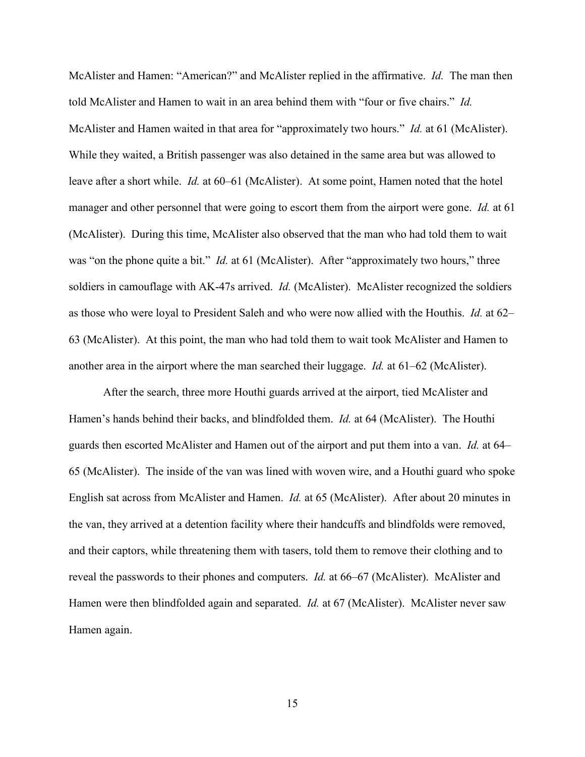McAlister and Hamen: "American?" and McAlister replied in the affirmative. *Id.* The man then told McAlister and Hamen to wait in an area behind them with "four or five chairs." *Id.*  McAlister and Hamen waited in that area for "approximately two hours." *Id.* at 61 (McAlister). While they waited, a British passenger was also detained in the same area but was allowed to leave after a short while. *Id.* at 60–61 (McAlister). At some point, Hamen noted that the hotel manager and other personnel that were going to escort them from the airport were gone. *Id.* at 61 (McAlister). During this time, McAlister also observed that the man who had told them to wait was "on the phone quite a bit." *Id.* at 61 (McAlister). After "approximately two hours," three soldiers in camouflage with AK-47s arrived. *Id.* (McAlister). McAlister recognized the soldiers as those who were loyal to President Saleh and who were now allied with the Houthis. *Id.* at 62– 63 (McAlister). At this point, the man who had told them to wait took McAlister and Hamen to another area in the airport where the man searched their luggage. *Id.* at 61–62 (McAlister).

After the search, three more Houthi guards arrived at the airport, tied McAlister and Hamen's hands behind their backs, and blindfolded them. *Id.* at 64 (McAlister). The Houthi guards then escorted McAlister and Hamen out of the airport and put them into a van. *Id.* at 64– 65 (McAlister). The inside of the van was lined with woven wire, and a Houthi guard who spoke English sat across from McAlister and Hamen. *Id.* at 65 (McAlister). After about 20 minutes in the van, they arrived at a detention facility where their handcuffs and blindfolds were removed, and their captors, while threatening them with tasers, told them to remove their clothing and to reveal the passwords to their phones and computers. *Id.* at 66–67 (McAlister). McAlister and Hamen were then blindfolded again and separated. *Id.* at 67 (McAlister). McAlister never saw Hamen again.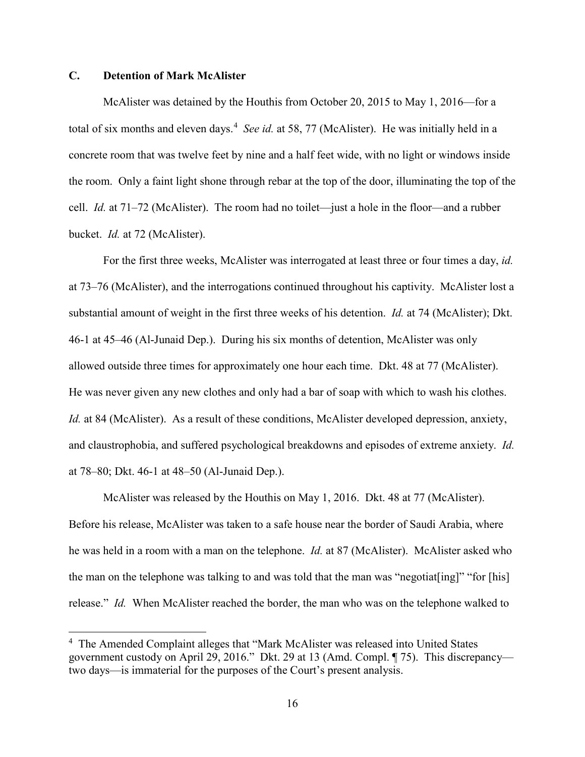# **C. Detention of Mark McAlister**

<u>.</u>

McAlister was detained by the Houthis from October 20, 2015 to May 1, 2016—for a total of six months and eleven days. [4](#page-15-0) *See id.* at 58, 77 (McAlister). He was initially held in a concrete room that was twelve feet by nine and a half feet wide, with no light or windows inside the room. Only a faint light shone through rebar at the top of the door, illuminating the top of the cell. *Id.* at 71–72 (McAlister). The room had no toilet—just a hole in the floor—and a rubber bucket. *Id.* at 72 (McAlister).

For the first three weeks, McAlister was interrogated at least three or four times a day, *id.*  at 73–76 (McAlister), and the interrogations continued throughout his captivity. McAlister lost a substantial amount of weight in the first three weeks of his detention. *Id.* at 74 (McAlister); Dkt. 46-1 at 45–46 (Al-Junaid Dep.). During his six months of detention, McAlister was only allowed outside three times for approximately one hour each time. Dkt. 48 at 77 (McAlister). He was never given any new clothes and only had a bar of soap with which to wash his clothes. *Id.* at 84 (McAlister). As a result of these conditions, McAlister developed depression, anxiety, and claustrophobia, and suffered psychological breakdowns and episodes of extreme anxiety. *Id.*  at 78–80; Dkt. 46-1 at 48–50 (Al-Junaid Dep.).

McAlister was released by the Houthis on May 1, 2016. Dkt. 48 at 77 (McAlister). Before his release, McAlister was taken to a safe house near the border of Saudi Arabia, where he was held in a room with a man on the telephone. *Id.* at 87 (McAlister). McAlister asked who the man on the telephone was talking to and was told that the man was "negotiat[ing]" "for [his] release." *Id.* When McAlister reached the border, the man who was on the telephone walked to

<span id="page-15-0"></span><sup>&</sup>lt;sup>4</sup> The Amended Complaint alleges that "Mark McAlister was released into United States government custody on April 29, 2016." Dkt. 29 at 13 (Amd. Compl. ¶ 75). This discrepancy two days—is immaterial for the purposes of the Court's present analysis.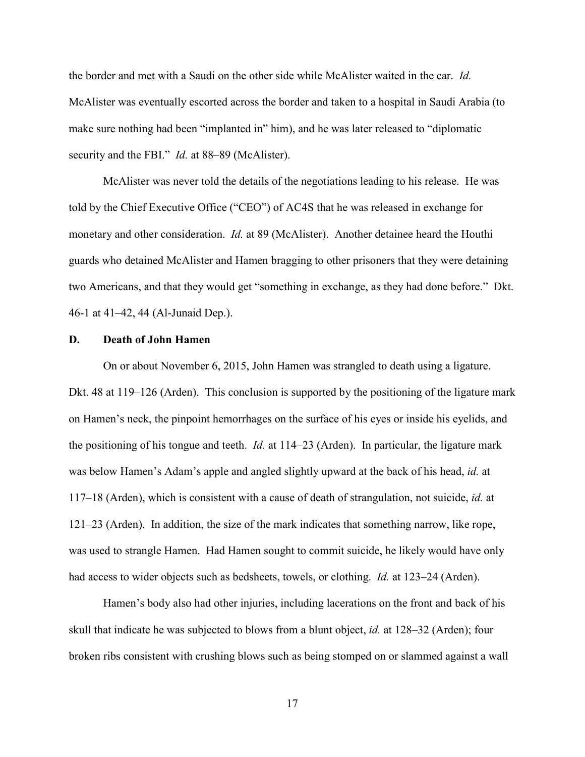the border and met with a Saudi on the other side while McAlister waited in the car. *Id.*  McAlister was eventually escorted across the border and taken to a hospital in Saudi Arabia (to make sure nothing had been "implanted in" him), and he was later released to "diplomatic security and the FBI." *Id.* at 88–89 (McAlister).

McAlister was never told the details of the negotiations leading to his release. He was told by the Chief Executive Office ("CEO") of AC4S that he was released in exchange for monetary and other consideration. *Id.* at 89 (McAlister). Another detainee heard the Houthi guards who detained McAlister and Hamen bragging to other prisoners that they were detaining two Americans, and that they would get "something in exchange, as they had done before." Dkt. 46-1 at 41–42, 44 (Al-Junaid Dep.).

### **D. Death of John Hamen**

On or about November 6, 2015, John Hamen was strangled to death using a ligature. Dkt. 48 at 119–126 (Arden). This conclusion is supported by the positioning of the ligature mark on Hamen's neck, the pinpoint hemorrhages on the surface of his eyes or inside his eyelids, and the positioning of his tongue and teeth. *Id.* at 114–23 (Arden). In particular, the ligature mark was below Hamen's Adam's apple and angled slightly upward at the back of his head, *id.* at 117–18 (Arden), which is consistent with a cause of death of strangulation, not suicide, *id.* at 121–23 (Arden). In addition, the size of the mark indicates that something narrow, like rope, was used to strangle Hamen. Had Hamen sought to commit suicide, he likely would have only had access to wider objects such as bedsheets, towels, or clothing. *Id.* at 123–24 (Arden).

Hamen's body also had other injuries, including lacerations on the front and back of his skull that indicate he was subjected to blows from a blunt object, *id.* at 128–32 (Arden); four broken ribs consistent with crushing blows such as being stomped on or slammed against a wall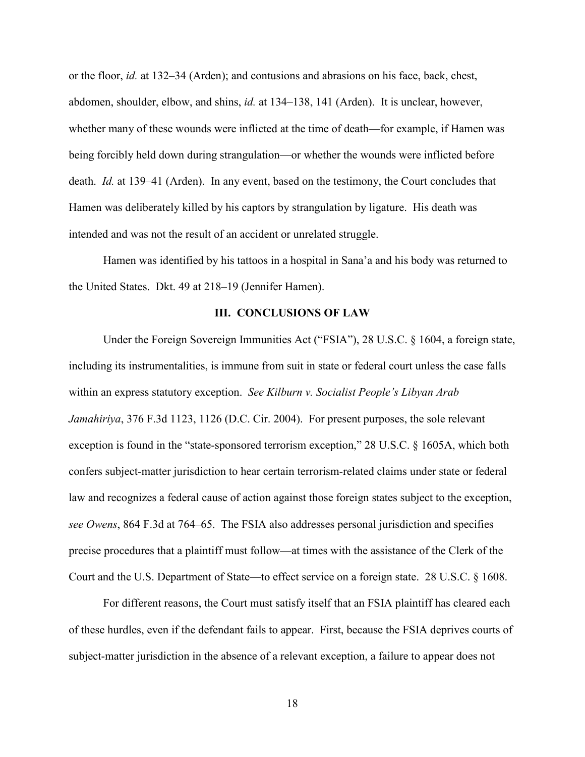or the floor, *id.* at 132–34 (Arden); and contusions and abrasions on his face, back, chest, abdomen, shoulder, elbow, and shins, *id.* at 134–138, 141 (Arden). It is unclear, however, whether many of these wounds were inflicted at the time of death—for example, if Hamen was being forcibly held down during strangulation—or whether the wounds were inflicted before death. *Id.* at 139–41 (Arden). In any event, based on the testimony, the Court concludes that Hamen was deliberately killed by his captors by strangulation by ligature. His death was intended and was not the result of an accident or unrelated struggle.

Hamen was identified by his tattoos in a hospital in Sana'a and his body was returned to the United States. Dkt. 49 at 218–19 (Jennifer Hamen).

## **III. CONCLUSIONS OF LAW**

Under the Foreign Sovereign Immunities Act ("FSIA"), 28 U.S.C. § 1604, a foreign state, including its instrumentalities, is immune from suit in state or federal court unless the case falls within an express statutory exception. *See Kilburn v. Socialist People's Libyan Arab Jamahiriya*, 376 F.3d 1123, 1126 (D.C. Cir. 2004). For present purposes, the sole relevant exception is found in the "state-sponsored terrorism exception," 28 U.S.C. § 1605A, which both confers subject-matter jurisdiction to hear certain terrorism-related claims under state or federal law and recognizes a federal cause of action against those foreign states subject to the exception, *see Owens*, 864 F.3d at 764–65. The FSIA also addresses personal jurisdiction and specifies precise procedures that a plaintiff must follow—at times with the assistance of the Clerk of the Court and the U.S. Department of State—to effect service on a foreign state. 28 U.S.C. § 1608.

For different reasons, the Court must satisfy itself that an FSIA plaintiff has cleared each of these hurdles, even if the defendant fails to appear. First, because the FSIA deprives courts of subject-matter jurisdiction in the absence of a relevant exception, a failure to appear does not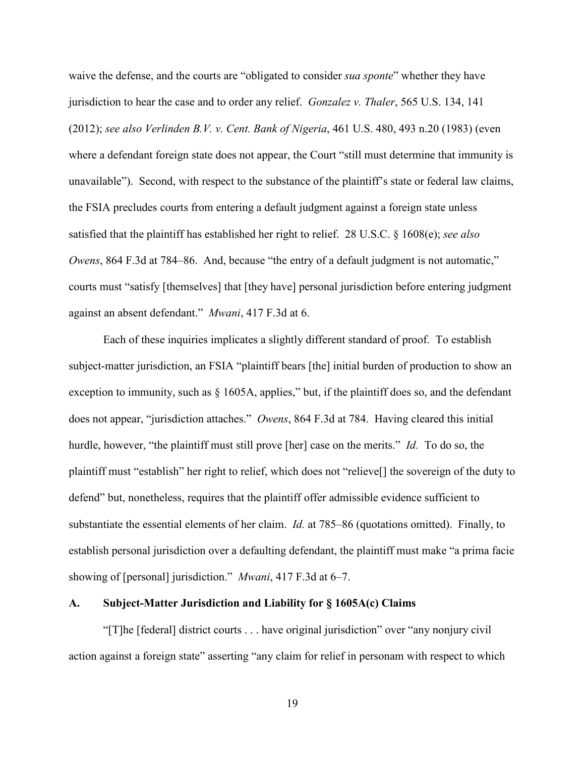waive the defense, and the courts are "obligated to consider *sua sponte*" whether they have jurisdiction to hear the case and to order any relief. *Gonzalez v. Thaler*, 565 U.S. 134, 141 (2012); *see also Verlinden B.V. v. Cent. Bank of Nigeria*, 461 U.S. 480, 493 n.20 (1983) (even where a defendant foreign state does not appear, the Court "still must determine that immunity is unavailable"). Second, with respect to the substance of the plaintiff's state or federal law claims, the FSIA precludes courts from entering a default judgment against a foreign state unless satisfied that the plaintiff has established her right to relief. 28 U.S.C. § 1608(e); *see also Owens*, 864 F.3d at 784–86. And, because "the entry of a default judgment is not automatic," courts must "satisfy [themselves] that [they have] personal jurisdiction before entering judgment against an absent defendant." *Mwani*, 417 F.3d at 6.

Each of these inquiries implicates a slightly different standard of proof. To establish subject-matter jurisdiction, an FSIA "plaintiff bears [the] initial burden of production to show an exception to immunity, such as § 1605A, applies," but, if the plaintiff does so, and the defendant does not appear, "jurisdiction attaches." *Owens*, 864 F.3d at 784. Having cleared this initial hurdle, however, "the plaintiff must still prove [her] case on the merits." *Id.* To do so, the plaintiff must "establish" her right to relief, which does not "relieve[] the sovereign of the duty to defend" but, nonetheless, requires that the plaintiff offer admissible evidence sufficient to substantiate the essential elements of her claim. *Id.* at 785–86 (quotations omitted). Finally, to establish personal jurisdiction over a defaulting defendant, the plaintiff must make "a prima facie showing of [personal] jurisdiction." *Mwani*, 417 F.3d at 6–7.

## **A. Subject-Matter Jurisdiction and Liability for § 1605A(c) Claims**

"[T]he [federal] district courts . . . have original jurisdiction" over "any nonjury civil action against a foreign state" asserting "any claim for relief in personam with respect to which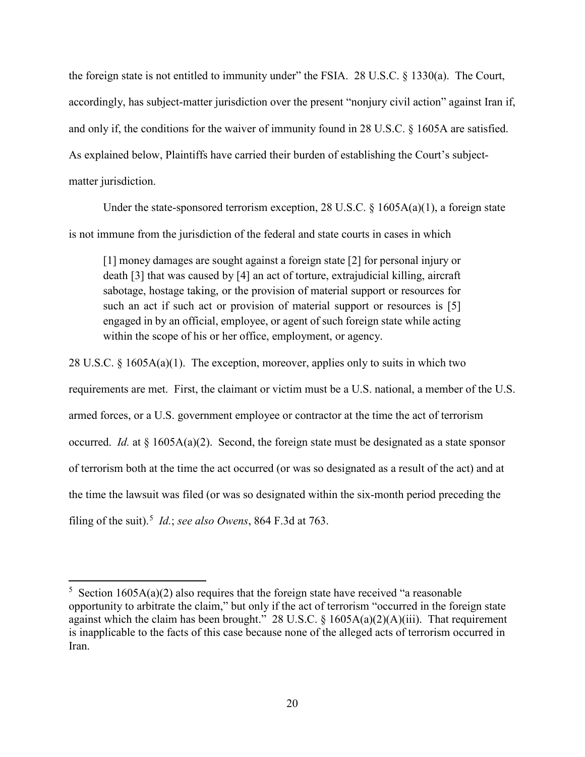the foreign state is not entitled to immunity under" the FSIA. 28 U.S.C. § 1330(a). The Court, accordingly, has subject-matter jurisdiction over the present "nonjury civil action" against Iran if, and only if, the conditions for the waiver of immunity found in 28 U.S.C. § 1605A are satisfied. As explained below, Plaintiffs have carried their burden of establishing the Court's subjectmatter jurisdiction.

Under the state-sponsored terrorism exception, 28 U.S.C. § 1605A(a)(1), a foreign state is not immune from the jurisdiction of the federal and state courts in cases in which

[1] money damages are sought against a foreign state [2] for personal injury or death [3] that was caused by [4] an act of torture, extrajudicial killing, aircraft sabotage, hostage taking, or the provision of material support or resources for such an act if such act or provision of material support or resources is [5] engaged in by an official, employee, or agent of such foreign state while acting within the scope of his or her office, employment, or agency.

28 U.S.C. § 1605A(a)(1). The exception, moreover, applies only to suits in which two

requirements are met. First, the claimant or victim must be a U.S. national, a member of the U.S. armed forces, or a U.S. government employee or contractor at the time the act of terrorism occurred. *Id.* at  $\S 1605A(a)(2)$ . Second, the foreign state must be designated as a state sponsor of terrorism both at the time the act occurred (or was so designated as a result of the act) and at the time the lawsuit was filed (or was so designated within the six-month period preceding the filing of the suit).<sup>[5](#page-19-0)</sup> *Id.*; *see also Owens*, 864 F.3d at 763.

<u>.</u>

<span id="page-19-0"></span><sup>&</sup>lt;sup>5</sup> Section 1605A(a)(2) also requires that the foreign state have received "a reasonable opportunity to arbitrate the claim," but only if the act of terrorism "occurred in the foreign state against which the claim has been brought." 28 U.S.C.  $\S$  1605A(a)(2)(A)(iii). That requirement is inapplicable to the facts of this case because none of the alleged acts of terrorism occurred in Iran.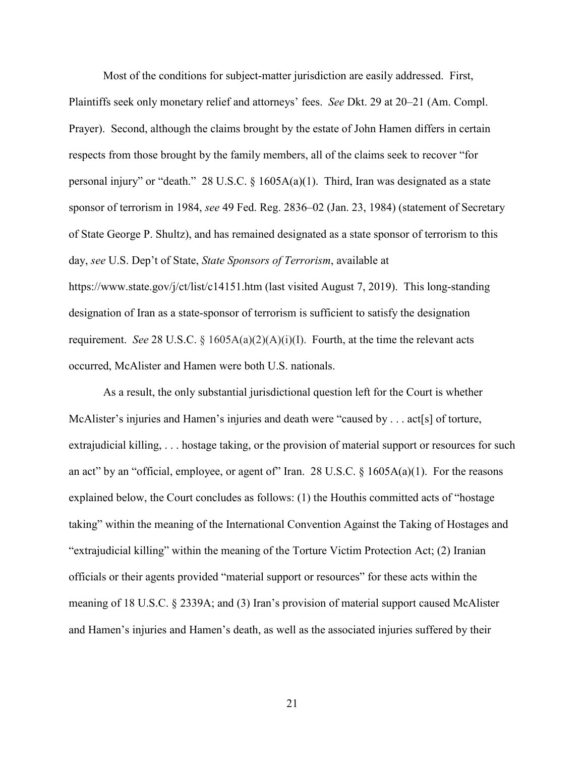Most of the conditions for subject-matter jurisdiction are easily addressed. First, Plaintiffs seek only monetary relief and attorneys' fees. *See* Dkt. 29 at 20–21 (Am. Compl. Prayer). Second, although the claims brought by the estate of John Hamen differs in certain respects from those brought by the family members, all of the claims seek to recover "for personal injury" or "death." 28 U.S.C. § 1605A(a)(1). Third, Iran was designated as a state sponsor of terrorism in 1984, *see* 49 Fed. Reg. 2836–02 (Jan. 23, 1984) (statement of Secretary of State George P. Shultz), and has remained designated as a state sponsor of terrorism to this day, *see* U.S. Dep't of State, *State Sponsors of Terrorism*, available at https://www.state.gov/j/ct/list/c14151.htm (last visited August 7, 2019). This long-standing designation of Iran as a state-sponsor of terrorism is sufficient to satisfy the designation requirement. *See* 28 U.S.C. §  $1605A(a)(2)(A)(i)(I)$ . Fourth, at the time the relevant acts occurred, McAlister and Hamen were both U.S. nationals.

As a result, the only substantial jurisdictional question left for the Court is whether McAlister's injuries and Hamen's injuries and death were "caused by . . . act[s] of torture, extrajudicial killing, . . . hostage taking, or the provision of material support or resources for such an act" by an "official, employee, or agent of" Iran. 28 U.S.C.  $\S$  1605A(a)(1). For the reasons explained below, the Court concludes as follows: (1) the Houthis committed acts of "hostage taking" within the meaning of the International Convention Against the Taking of Hostages and "extrajudicial killing" within the meaning of the Torture Victim Protection Act; (2) Iranian officials or their agents provided "material support or resources" for these acts within the meaning of 18 U.S.C. § 2339A; and (3) Iran's provision of material support caused McAlister and Hamen's injuries and Hamen's death, as well as the associated injuries suffered by their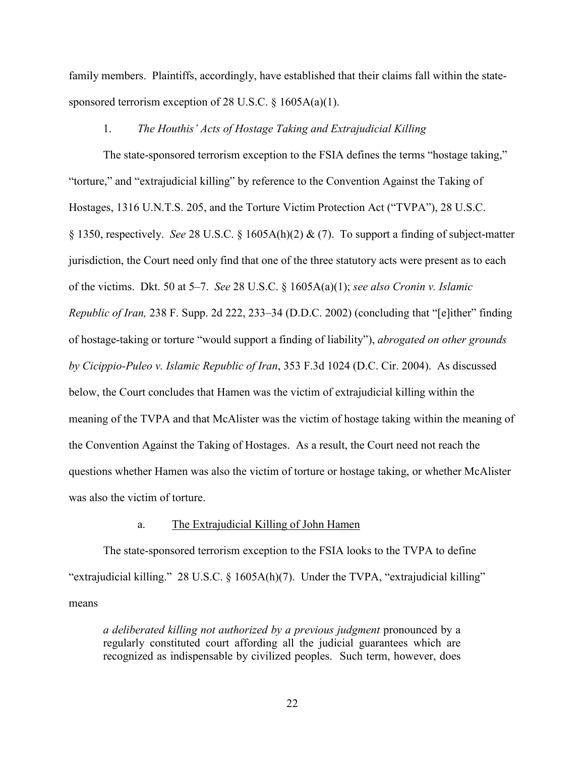family members. Plaintiffs, accordingly, have established that their claims fall within the statesponsored terrorism exception of 28 U.S.C.  $\S$  1605A(a)(1).

## 1. *The Houthis' Acts of Hostage Taking and Extrajudicial Killing*

The state-sponsored terrorism exception to the FSIA defines the terms "hostage taking," "torture," and "extrajudicial killing" by reference to the Convention Against the Taking of Hostages, 1316 U.N.T.S. 205, and the Torture Victim Protection Act ("TVPA"), 28 U.S.C. § 1350, respectively. *See* 28 U.S.C. § 1605A(h)(2) & (7). To support a finding of subject-matter jurisdiction, the Court need only find that one of the three statutory acts were present as to each of the victims. Dkt. 50 at 5–7. *See* 28 U.S.C. § 1605A(a)(1); *see also Cronin v. Islamic Republic of Iran,* 238 F. Supp. 2d 222, 233–34 (D.D.C. 2002) (concluding that "[e]ither" finding of hostage-taking or torture "would support a finding of liability"), *abrogated on other grounds by Cicippio-Puleo v. Islamic Republic of Iran*, 353 F.3d 1024 (D.C. Cir. 2004). As discussed below, the Court concludes that Hamen was the victim of extrajudicial killing within the meaning of the TVPA and that McAlister was the victim of hostage taking within the meaning of the Convention Against the Taking of Hostages. As a result, the Court need not reach the questions whether Hamen was also the victim of torture or hostage taking, or whether McAlister was also the victim of torture.

## a. The Extrajudicial Killing of John Hamen

The state-sponsored terrorism exception to the FSIA looks to the TVPA to define "extrajudicial killing." 28 U.S.C. § 1605A(h)(7). Under the TVPA, "extrajudicial killing" means

*a deliberated killing not authorized by a previous judgment* pronounced by a regularly constituted court affording all the judicial guarantees which are recognized as indispensable by civilized peoples. Such term, however, does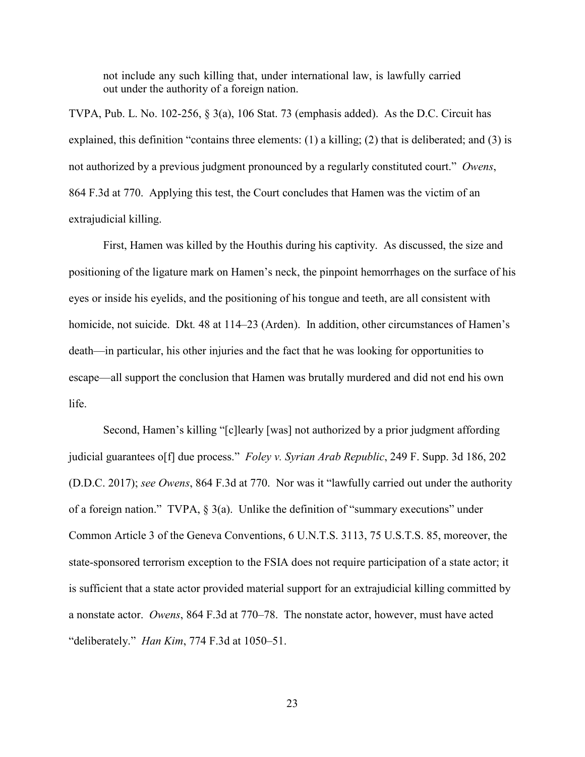not include any such killing that, under international law, is lawfully carried out under the authority of a foreign nation.

TVPA, Pub. L. No. 102-256, § 3(a), 106 Stat. 73 (emphasis added). As the D.C. Circuit has explained, this definition "contains three elements: (1) a killing; (2) that is deliberated; and (3) is not authorized by a previous judgment pronounced by a regularly constituted court." *Owens*, 864 F.3d at 770. Applying this test, the Court concludes that Hamen was the victim of an extrajudicial killing.

First, Hamen was killed by the Houthis during his captivity. As discussed, the size and positioning of the ligature mark on Hamen's neck, the pinpoint hemorrhages on the surface of his eyes or inside his eyelids, and the positioning of his tongue and teeth, are all consistent with homicide, not suicide. Dkt. 48 at 114–23 (Arden). In addition, other circumstances of Hamen's death—in particular, his other injuries and the fact that he was looking for opportunities to escape—all support the conclusion that Hamen was brutally murdered and did not end his own life.

Second, Hamen's killing "[c]learly [was] not authorized by a prior judgment affording judicial guarantees o[f] due process." *Foley v. Syrian Arab Republic*, 249 F. Supp. 3d 186, 202 (D.D.C. 2017); *see Owens*, 864 F.3d at 770. Nor was it "lawfully carried out under the authority of a foreign nation." TVPA,  $\S 3(a)$ . Unlike the definition of "summary executions" under Common Article 3 of the Geneva Conventions, 6 U.N.T.S. 3113, 75 U.S.T.S. 85, moreover, the state-sponsored terrorism exception to the FSIA does not require participation of a state actor; it is sufficient that a state actor provided material support for an extrajudicial killing committed by a nonstate actor. *Owens*, 864 F.3d at 770–78. The nonstate actor, however, must have acted "deliberately." *Han Kim*, 774 F.3d at 1050–51.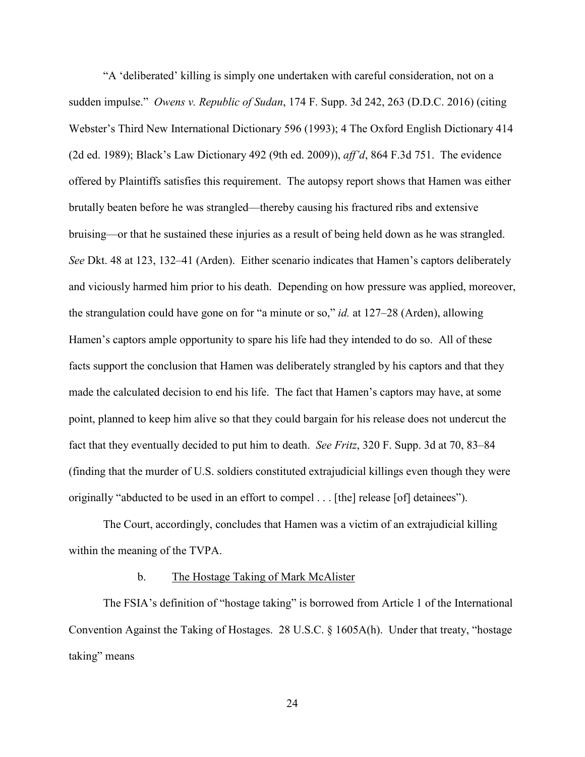"A 'deliberated' killing is simply one undertaken with careful consideration, not on a sudden impulse." *Owens v. Republic of Sudan*, 174 F. Supp. 3d 242, 263 (D.D.C. 2016) (citing Webster's Third New International Dictionary 596 (1993); 4 The Oxford English Dictionary 414 (2d ed. 1989); Black's Law Dictionary 492 (9th ed. 2009)), *aff'd*, 864 F.3d 751. The evidence offered by Plaintiffs satisfies this requirement. The autopsy report shows that Hamen was either brutally beaten before he was strangled—thereby causing his fractured ribs and extensive bruising—or that he sustained these injuries as a result of being held down as he was strangled. *See* Dkt. 48 at 123, 132–41 (Arden). Either scenario indicates that Hamen's captors deliberately and viciously harmed him prior to his death. Depending on how pressure was applied, moreover, the strangulation could have gone on for "a minute or so," *id.* at 127–28 (Arden), allowing Hamen's captors ample opportunity to spare his life had they intended to do so. All of these facts support the conclusion that Hamen was deliberately strangled by his captors and that they made the calculated decision to end his life. The fact that Hamen's captors may have, at some point, planned to keep him alive so that they could bargain for his release does not undercut the fact that they eventually decided to put him to death. *See Fritz*, 320 F. Supp. 3d at 70, 83–84 (finding that the murder of U.S. soldiers constituted extrajudicial killings even though they were originally "abducted to be used in an effort to compel . . . [the] release [of] detainees").

 The Court, accordingly, concludes that Hamen was a victim of an extrajudicial killing within the meaning of the TVPA.

#### b. The Hostage Taking of Mark McAlister

The FSIA's definition of "hostage taking" is borrowed from Article 1 of the International Convention Against the Taking of Hostages. 28 U.S.C. § 1605A(h). Under that treaty, "hostage taking" means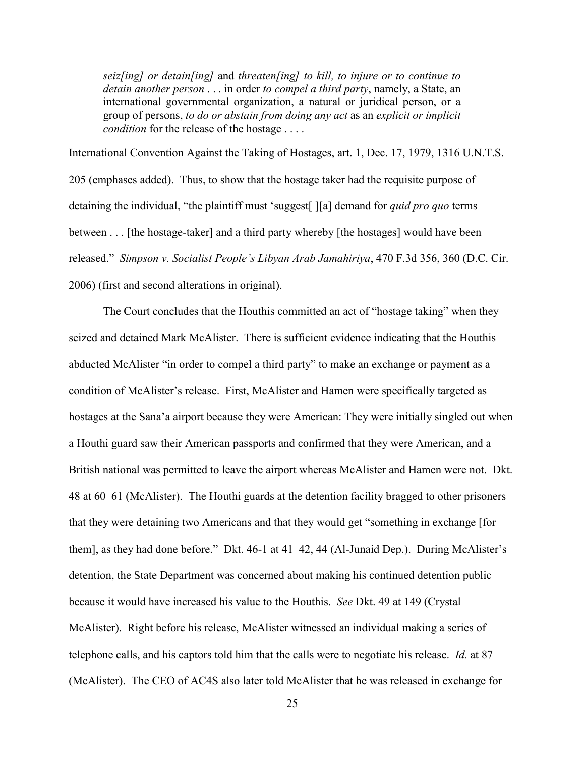*seiz[ing] or detain[ing]* and *threaten[ing] to kill, to injure or to continue to detain another person* . . . in order *to compel a third party*, namely, a State, an international governmental organization, a natural or juridical person, or a group of persons, *to do or abstain from doing any act* as an *explicit or implicit condition* for the release of the hostage . . . .

International Convention Against the Taking of Hostages, art. 1, Dec. 17, 1979, 1316 U.N.T.S. 205 (emphases added). Thus, to show that the hostage taker had the requisite purpose of detaining the individual, "the plaintiff must 'suggest[ ][a] demand for *quid pro quo* terms between . . . [the hostage-taker] and a third party whereby [the hostages] would have been released." *Simpson v. Socialist People's Libyan Arab Jamahiriya*, 470 F.3d 356, 360 (D.C. Cir. 2006) (first and second alterations in original).

 The Court concludes that the Houthis committed an act of "hostage taking" when they seized and detained Mark McAlister. There is sufficient evidence indicating that the Houthis abducted McAlister "in order to compel a third party" to make an exchange or payment as a condition of McAlister's release. First, McAlister and Hamen were specifically targeted as hostages at the Sana'a airport because they were American: They were initially singled out when a Houthi guard saw their American passports and confirmed that they were American, and a British national was permitted to leave the airport whereas McAlister and Hamen were not. Dkt. 48 at 60–61 (McAlister). The Houthi guards at the detention facility bragged to other prisoners that they were detaining two Americans and that they would get "something in exchange [for them], as they had done before." Dkt. 46-1 at 41–42, 44 (Al-Junaid Dep.). During McAlister's detention, the State Department was concerned about making his continued detention public because it would have increased his value to the Houthis. *See* Dkt. 49 at 149 (Crystal McAlister). Right before his release, McAlister witnessed an individual making a series of telephone calls, and his captors told him that the calls were to negotiate his release. *Id.* at 87 (McAlister). The CEO of AC4S also later told McAlister that he was released in exchange for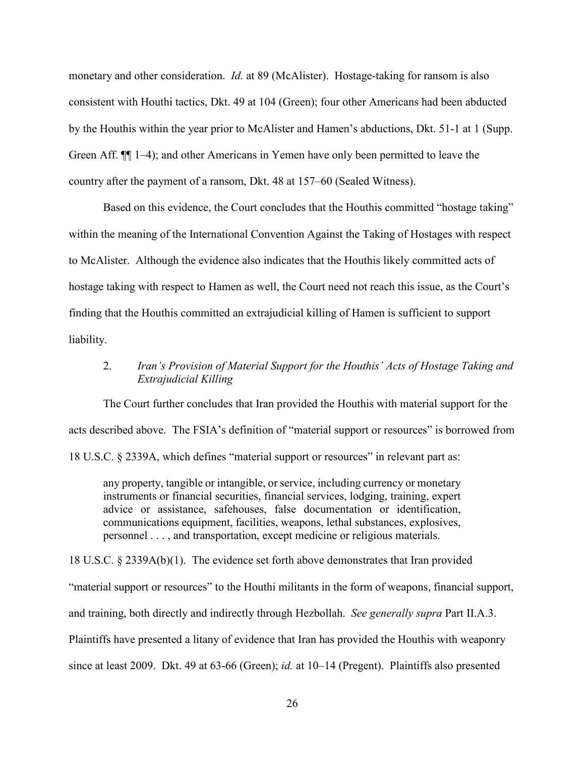monetary and other consideration. *Id.* at 89 (McAlister). Hostage-taking for ransom is also consistent with Houthi tactics, Dkt. 49 at 104 (Green); four other Americans had been abducted by the Houthis within the year prior to McAlister and Hamen's abductions, Dkt. 51-1 at 1 (Supp. Green Aff. ¶¶ 1–4); and other Americans in Yemen have only been permitted to leave the country after the payment of a ransom, Dkt. 48 at 157–60 (Sealed Witness).

Based on this evidence, the Court concludes that the Houthis committed "hostage taking" within the meaning of the International Convention Against the Taking of Hostages with respect to McAlister. Although the evidence also indicates that the Houthis likely committed acts of hostage taking with respect to Hamen as well, the Court need not reach this issue, as the Court's finding that the Houthis committed an extrajudicial killing of Hamen is sufficient to support liability.

# 2. *Iran's Provision of Material Support for the Houthis' Acts of Hostage Taking and Extrajudicial Killing*

The Court further concludes that Iran provided the Houthis with material support for the acts described above. The FSIA's definition of "material support or resources" is borrowed from 18 U.S.C. § 2339A, which defines "material support or resources" in relevant part as:

any property, tangible or intangible, or service, including currency or monetary instruments or financial securities, financial services, lodging, training, expert advice or assistance, safehouses, false documentation or identification, communications equipment, facilities, weapons, lethal substances, explosives, personnel . . . , and transportation, except medicine or religious materials.

18 U.S.C. § 2339A(b)(1). The evidence set forth above demonstrates that Iran provided

"material support or resources" to the Houthi militants in the form of weapons, financial support,

and training, both directly and indirectly through Hezbollah. *See generally supra* Part II.A.3.

Plaintiffs have presented a litany of evidence that Iran has provided the Houthis with weaponry

since at least 2009. Dkt. 49 at 63-66 (Green); *id.* at 10–14 (Pregent). Plaintiffs also presented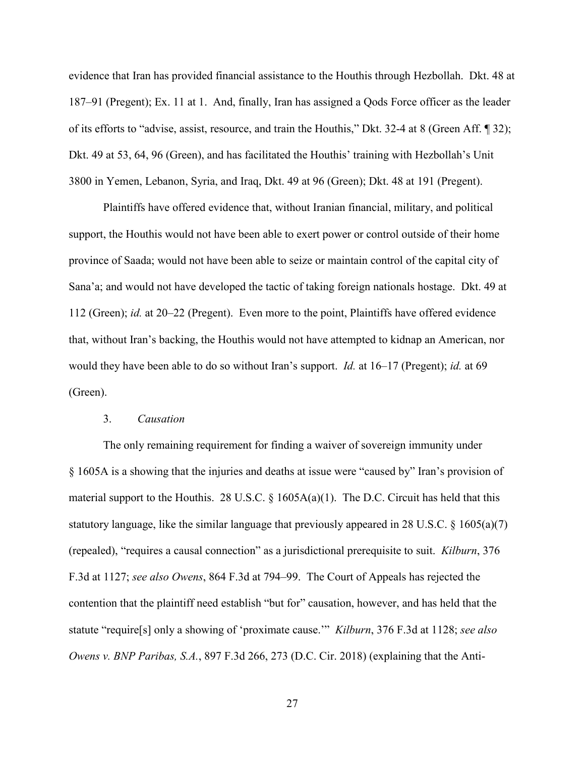evidence that Iran has provided financial assistance to the Houthis through Hezbollah. Dkt. 48 at 187–91 (Pregent); Ex. 11 at 1. And, finally, Iran has assigned a Qods Force officer as the leader of its efforts to "advise, assist, resource, and train the Houthis," Dkt. 32-4 at 8 (Green Aff. ¶ 32); Dkt. 49 at 53, 64, 96 (Green), and has facilitated the Houthis' training with Hezbollah's Unit 3800 in Yemen, Lebanon, Syria, and Iraq, Dkt. 49 at 96 (Green); Dkt. 48 at 191 (Pregent).

Plaintiffs have offered evidence that, without Iranian financial, military, and political support, the Houthis would not have been able to exert power or control outside of their home province of Saada; would not have been able to seize or maintain control of the capital city of Sana'a; and would not have developed the tactic of taking foreign nationals hostage. Dkt. 49 at 112 (Green); *id.* at 20–22 (Pregent). Even more to the point, Plaintiffs have offered evidence that, without Iran's backing, the Houthis would not have attempted to kidnap an American, nor would they have been able to do so without Iran's support. *Id.* at 16–17 (Pregent); *id.* at 69 (Green).

### 3. *Causation*

The only remaining requirement for finding a waiver of sovereign immunity under § 1605A is a showing that the injuries and deaths at issue were "caused by" Iran's provision of material support to the Houthis. 28 U.S.C.  $\S$  1605A(a)(1). The D.C. Circuit has held that this statutory language, like the similar language that previously appeared in 28 U.S.C. § 1605(a)(7) (repealed), "requires a causal connection" as a jurisdictional prerequisite to suit. *Kilburn*, 376 F.3d at 1127; *see also Owens*, 864 F.3d at 794–99. The Court of Appeals has rejected the contention that the plaintiff need establish "but for" causation, however, and has held that the statute "require[s] only a showing of 'proximate cause.'" *Kilburn*, 376 F.3d at 1128; *see also Owens v. BNP Paribas, S.A.*, 897 F.3d 266, 273 (D.C. Cir. 2018) (explaining that the Anti-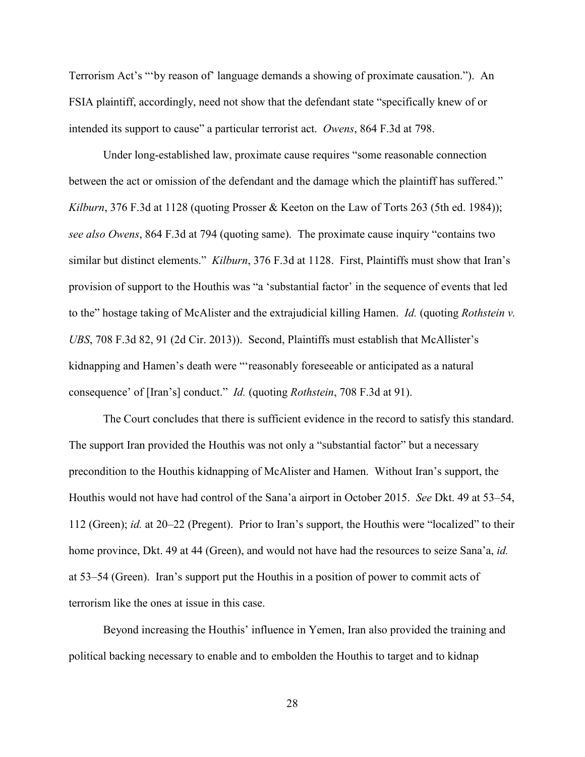Terrorism Act's "'by reason of' language demands a showing of proximate causation."). An FSIA plaintiff, accordingly, need not show that the defendant state "specifically knew of or intended its support to cause" a particular terrorist act. *Owens*, 864 F.3d at 798.

Under long-established law, proximate cause requires "some reasonable connection between the act or omission of the defendant and the damage which the plaintiff has suffered." *Kilburn*, 376 F.3d at 1128 (quoting Prosser & Keeton on the Law of Torts 263 (5th ed. 1984)); *see also Owens*, 864 F.3d at 794 (quoting same). The proximate cause inquiry "contains two similar but distinct elements." *Kilburn*, 376 F.3d at 1128. First, Plaintiffs must show that Iran's provision of support to the Houthis was "a 'substantial factor' in the sequence of events that led to the" hostage taking of McAlister and the extrajudicial killing Hamen. *Id.* (quoting *Rothstein v. UBS*, 708 F.3d 82, 91 (2d Cir. 2013)). Second, Plaintiffs must establish that McAllister's kidnapping and Hamen's death were "'reasonably foreseeable or anticipated as a natural consequence' of [Iran's] conduct." *Id.* (quoting *Rothstein*, 708 F.3d at 91).

The Court concludes that there is sufficient evidence in the record to satisfy this standard. The support Iran provided the Houthis was not only a "substantial factor" but a necessary precondition to the Houthis kidnapping of McAlister and Hamen. Without Iran's support, the Houthis would not have had control of the Sana'a airport in October 2015. *See* Dkt. 49 at 53–54, 112 (Green); *id.* at 20–22 (Pregent). Prior to Iran's support, the Houthis were "localized" to their home province, Dkt. 49 at 44 (Green), and would not have had the resources to seize Sana'a, *id.*  at 53–54 (Green). Iran's support put the Houthis in a position of power to commit acts of terrorism like the ones at issue in this case.

Beyond increasing the Houthis' influence in Yemen, Iran also provided the training and political backing necessary to enable and to embolden the Houthis to target and to kidnap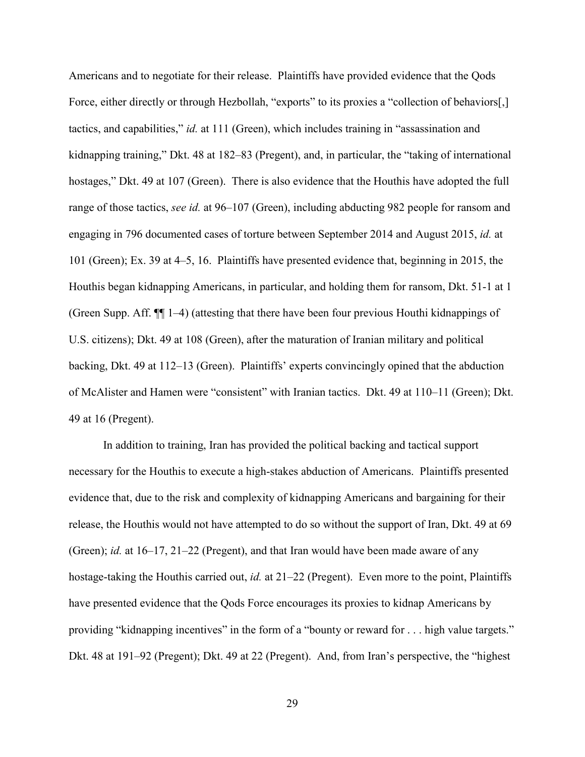Americans and to negotiate for their release. Plaintiffs have provided evidence that the Qods Force, either directly or through Hezbollah, "exports" to its proxies a "collection of behaviors[,] tactics, and capabilities," *id.* at 111 (Green), which includes training in "assassination and kidnapping training," Dkt. 48 at 182–83 (Pregent), and, in particular, the "taking of international hostages," Dkt. 49 at 107 (Green). There is also evidence that the Houthis have adopted the full range of those tactics, *see id.* at 96–107 (Green), including abducting 982 people for ransom and engaging in 796 documented cases of torture between September 2014 and August 2015, *id.* at 101 (Green); Ex. 39 at 4–5, 16. Plaintiffs have presented evidence that, beginning in 2015, the Houthis began kidnapping Americans, in particular, and holding them for ransom, Dkt. 51-1 at 1 (Green Supp. Aff. ¶¶ 1–4) (attesting that there have been four previous Houthi kidnappings of U.S. citizens); Dkt. 49 at 108 (Green), after the maturation of Iranian military and political backing, Dkt. 49 at 112–13 (Green). Plaintiffs' experts convincingly opined that the abduction of McAlister and Hamen were "consistent" with Iranian tactics. Dkt. 49 at 110–11 (Green); Dkt. 49 at 16 (Pregent).

In addition to training, Iran has provided the political backing and tactical support necessary for the Houthis to execute a high-stakes abduction of Americans. Plaintiffs presented evidence that, due to the risk and complexity of kidnapping Americans and bargaining for their release, the Houthis would not have attempted to do so without the support of Iran, Dkt. 49 at 69 (Green); *id.* at 16–17, 21–22 (Pregent), and that Iran would have been made aware of any hostage-taking the Houthis carried out, *id.* at 21–22 (Pregent). Even more to the point, Plaintiffs have presented evidence that the Qods Force encourages its proxies to kidnap Americans by providing "kidnapping incentives" in the form of a "bounty or reward for . . . high value targets." Dkt. 48 at 191–92 (Pregent); Dkt. 49 at 22 (Pregent). And, from Iran's perspective, the "highest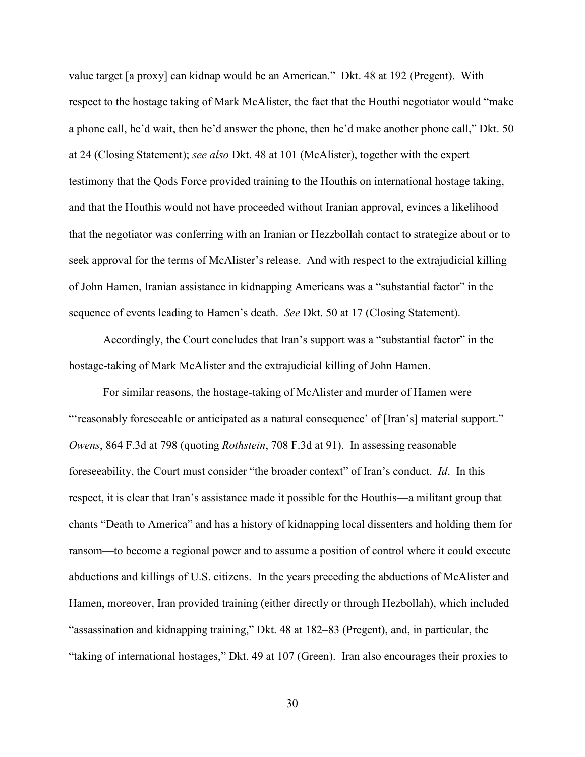value target [a proxy] can kidnap would be an American." Dkt. 48 at 192 (Pregent). With respect to the hostage taking of Mark McAlister, the fact that the Houthi negotiator would "make a phone call, he'd wait, then he'd answer the phone, then he'd make another phone call," Dkt. 50 at 24 (Closing Statement); *see also* Dkt. 48 at 101 (McAlister), together with the expert testimony that the Qods Force provided training to the Houthis on international hostage taking, and that the Houthis would not have proceeded without Iranian approval, evinces a likelihood that the negotiator was conferring with an Iranian or Hezzbollah contact to strategize about or to seek approval for the terms of McAlister's release. And with respect to the extrajudicial killing of John Hamen, Iranian assistance in kidnapping Americans was a "substantial factor" in the sequence of events leading to Hamen's death. *See* Dkt. 50 at 17 (Closing Statement).

Accordingly, the Court concludes that Iran's support was a "substantial factor" in the hostage-taking of Mark McAlister and the extrajudicial killing of John Hamen.

For similar reasons, the hostage-taking of McAlister and murder of Hamen were "'reasonably foreseeable or anticipated as a natural consequence' of [Iran's] material support." *Owens*, 864 F.3d at 798 (quoting *Rothstein*, 708 F.3d at 91). In assessing reasonable foreseeability, the Court must consider "the broader context" of Iran's conduct. *Id*. In this respect, it is clear that Iran's assistance made it possible for the Houthis—a militant group that chants "Death to America" and has a history of kidnapping local dissenters and holding them for ransom—to become a regional power and to assume a position of control where it could execute abductions and killings of U.S. citizens. In the years preceding the abductions of McAlister and Hamen, moreover, Iran provided training (either directly or through Hezbollah), which included "assassination and kidnapping training," Dkt. 48 at 182–83 (Pregent), and, in particular, the "taking of international hostages," Dkt. 49 at 107 (Green). Iran also encourages their proxies to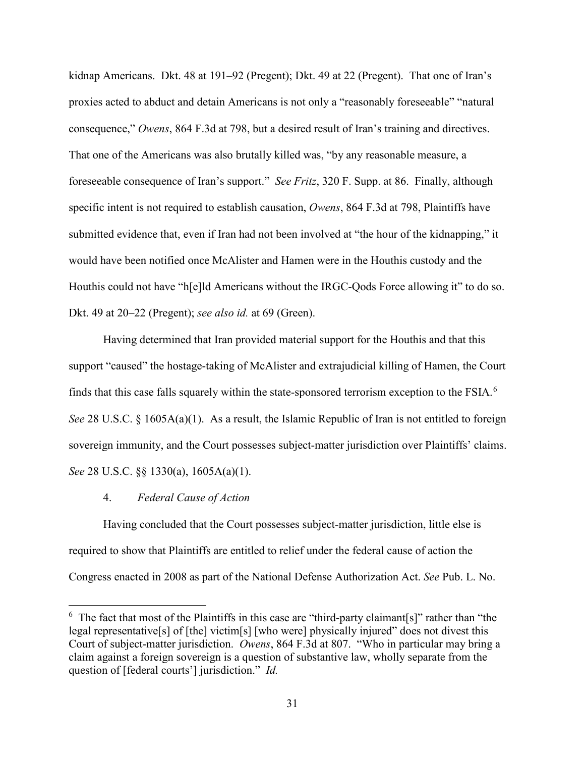kidnap Americans. Dkt. 48 at 191–92 (Pregent); Dkt. 49 at 22 (Pregent). That one of Iran's proxies acted to abduct and detain Americans is not only a "reasonably foreseeable" "natural consequence," *Owens*, 864 F.3d at 798, but a desired result of Iran's training and directives. That one of the Americans was also brutally killed was, "by any reasonable measure, a foreseeable consequence of Iran's support." *See Fritz*, 320 F. Supp. at 86. Finally, although specific intent is not required to establish causation, *Owens*, 864 F.3d at 798, Plaintiffs have submitted evidence that, even if Iran had not been involved at "the hour of the kidnapping," it would have been notified once McAlister and Hamen were in the Houthis custody and the Houthis could not have "h[e]ld Americans without the IRGC-Qods Force allowing it" to do so. Dkt. 49 at 20–22 (Pregent); *see also id.* at 69 (Green).

Having determined that Iran provided material support for the Houthis and that this support "caused" the hostage-taking of McAlister and extrajudicial killing of Hamen, the Court finds that this case falls squarely within the state-sponsored terrorism exception to the FSIA. $^6$  $^6$ *See* 28 U.S.C. § 1605A(a)(1). As a result, the Islamic Republic of Iran is not entitled to foreign sovereign immunity, and the Court possesses subject-matter jurisdiction over Plaintiffs' claims. *See* 28 U.S.C. §§ 1330(a), 1605A(a)(1).

### 4. *Federal Cause of Action*

 $\overline{a}$ 

Having concluded that the Court possesses subject-matter jurisdiction, little else is required to show that Plaintiffs are entitled to relief under the federal cause of action the Congress enacted in 2008 as part of the National Defense Authorization Act. *See* Pub. L. No.

<span id="page-30-0"></span> $6$  The fact that most of the Plaintiffs in this case are "third-party claimant[s]" rather than "the legal representative[s] of [the] victim[s] [who were] physically injured" does not divest this Court of subject-matter jurisdiction. *Owens*, 864 F.3d at 807. "Who in particular may bring a claim against a foreign sovereign is a question of substantive law, wholly separate from the question of [federal courts'] jurisdiction." *Id.*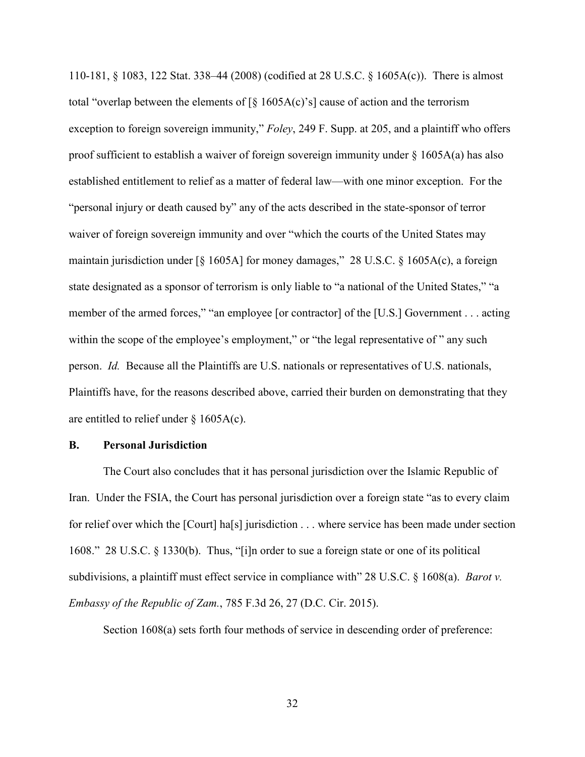110-181, § 1083, 122 Stat. 338–44 (2008) (codified at 28 U.S.C. § 1605A(c)). There is almost total "overlap between the elements of  $\lbrack \S \rbrack$  1605A(c)'s] cause of action and the terrorism exception to foreign sovereign immunity," *Foley*, 249 F. Supp. at 205, and a plaintiff who offers proof sufficient to establish a waiver of foreign sovereign immunity under § 1605A(a) has also established entitlement to relief as a matter of federal law—with one minor exception. For the "personal injury or death caused by" any of the acts described in the state-sponsor of terror waiver of foreign sovereign immunity and over "which the courts of the United States may maintain jurisdiction under [§ 1605A] for money damages," 28 U.S.C. § 1605A(c), a foreign state designated as a sponsor of terrorism is only liable to "a national of the United States," "a member of the armed forces," "an employee [or contractor] of the [U.S.] Government . . . acting within the scope of the employee's employment," or "the legal representative of " any such person. *Id.* Because all the Plaintiffs are U.S. nationals or representatives of U.S. nationals, Plaintiffs have, for the reasons described above, carried their burden on demonstrating that they are entitled to relief under  $\S$  1605A(c).

### **B. Personal Jurisdiction**

The Court also concludes that it has personal jurisdiction over the Islamic Republic of Iran. Under the FSIA, the Court has personal jurisdiction over a foreign state "as to every claim for relief over which the [Court] ha[s] jurisdiction . . . where service has been made under section 1608." 28 U.S.C. § 1330(b). Thus, "[i]n order to sue a foreign state or one of its political subdivisions, a plaintiff must effect service in compliance with" 28 U.S.C. § 1608(a). *Barot v. Embassy of the Republic of Zam.*, 785 F.3d 26, 27 (D.C. Cir. 2015).

Section 1608(a) sets forth four methods of service in descending order of preference: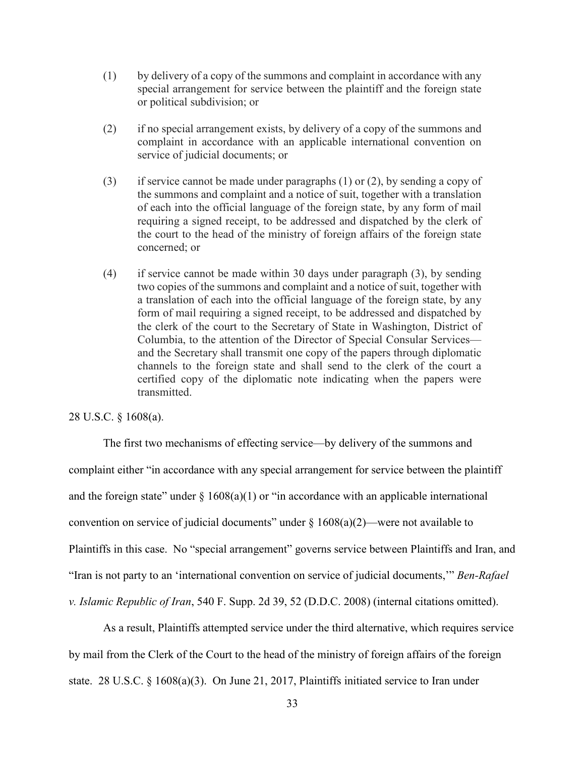- (1) by delivery of a copy of the summons and complaint in accordance with any special arrangement for service between the plaintiff and the foreign state or political subdivision; or
- (2) if no special arrangement exists, by delivery of a copy of the summons and complaint in accordance with an applicable international convention on service of judicial documents; or
- (3) if service cannot be made under paragraphs (1) or (2), by sending a copy of the summons and complaint and a notice of suit, together with a translation of each into the official language of the foreign state, by any form of mail requiring a signed receipt, to be addressed and dispatched by the clerk of the court to the head of the ministry of foreign affairs of the foreign state concerned; or
- (4) if service cannot be made within 30 days under paragraph (3), by sending two copies of the summons and complaint and a notice of suit, together with a translation of each into the official language of the foreign state, by any form of mail requiring a signed receipt, to be addressed and dispatched by the clerk of the court to the Secretary of State in Washington, District of Columbia, to the attention of the Director of Special Consular Services and the Secretary shall transmit one copy of the papers through diplomatic channels to the foreign state and shall send to the clerk of the court a certified copy of the diplomatic note indicating when the papers were transmitted.

# 28 U.S.C. § 1608(a).

The first two mechanisms of effecting service—by delivery of the summons and complaint either "in accordance with any special arrangement for service between the plaintiff and the foreign state" under  $\S 1608(a)(1)$  or "in accordance with an applicable international convention on service of judicial documents" under  $\S 1608(a)(2)$ —were not available to Plaintiffs in this case. No "special arrangement" governs service between Plaintiffs and Iran, and "Iran is not party to an 'international convention on service of judicial documents,'" *Ben-Rafael v. Islamic Republic of Iran*, 540 F. Supp. 2d 39, 52 (D.D.C. 2008) (internal citations omitted).

As a result, Plaintiffs attempted service under the third alternative, which requires service by mail from the Clerk of the Court to the head of the ministry of foreign affairs of the foreign state. 28 U.S.C. § 1608(a)(3). On June 21, 2017, Plaintiffs initiated service to Iran under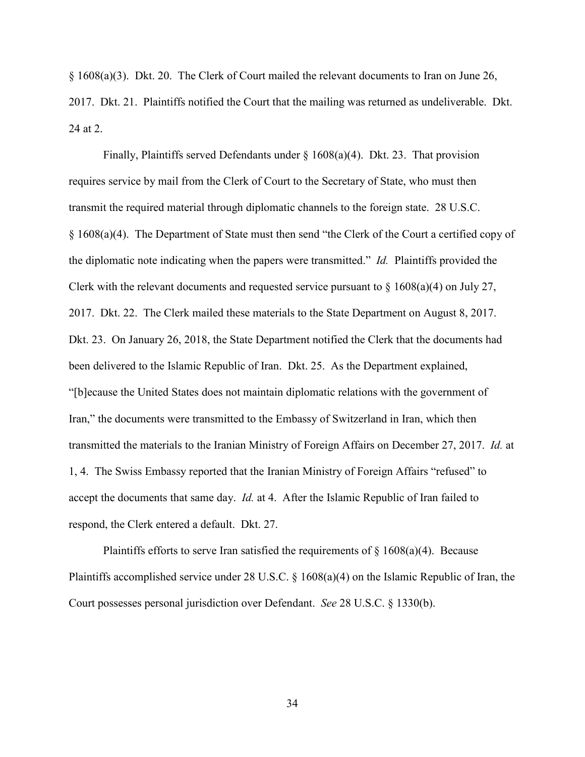§ 1608(a)(3). Dkt. 20. The Clerk of Court mailed the relevant documents to Iran on June 26, 2017. Dkt. 21. Plaintiffs notified the Court that the mailing was returned as undeliverable. Dkt. 24 at 2.

Finally, Plaintiffs served Defendants under § 1608(a)(4). Dkt. 23. That provision requires service by mail from the Clerk of Court to the Secretary of State, who must then transmit the required material through diplomatic channels to the foreign state. 28 U.S.C. § 1608(a)(4). The Department of State must then send "the Clerk of the Court a certified copy of the diplomatic note indicating when the papers were transmitted." *Id.* Plaintiffs provided the Clerk with the relevant documents and requested service pursuant to  $\S$  1608(a)(4) on July 27, 2017. Dkt. 22. The Clerk mailed these materials to the State Department on August 8, 2017. Dkt. 23. On January 26, 2018, the State Department notified the Clerk that the documents had been delivered to the Islamic Republic of Iran. Dkt. 25. As the Department explained, "[b]ecause the United States does not maintain diplomatic relations with the government of Iran," the documents were transmitted to the Embassy of Switzerland in Iran, which then transmitted the materials to the Iranian Ministry of Foreign Affairs on December 27, 2017. *Id.* at 1, 4. The Swiss Embassy reported that the Iranian Ministry of Foreign Affairs "refused" to accept the documents that same day. *Id.* at 4. After the Islamic Republic of Iran failed to respond, the Clerk entered a default. Dkt. 27.

Plaintiffs efforts to serve Iran satisfied the requirements of  $\S$  1608(a)(4). Because Plaintiffs accomplished service under 28 U.S.C. § 1608(a)(4) on the Islamic Republic of Iran, the Court possesses personal jurisdiction over Defendant. *See* 28 U.S.C. § 1330(b).